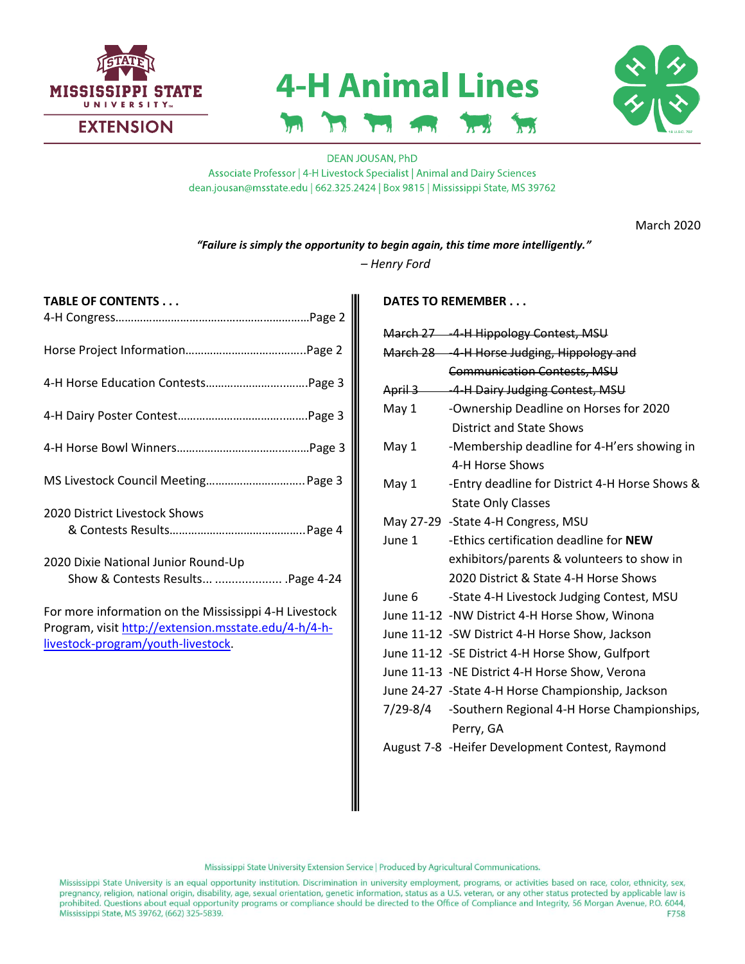

# **4-H Animal Lines**  $\mathbf{v}$  $\mathbf{h}$



## **DEAN JOUSAN, PhD** Associate Professor | 4-H Livestock Specialist | Animal and Dairy Sciences dean.jousan@msstate.edu | 662.325.2424 | Box 9815 | Mississippi State, MS 39762

March 2020

*"Failure is simply the opportunity to begin again, this time more intelligently."*

*– Henry Ford*

| TABLE OF CONTENTS                                                                                                                                   |
|-----------------------------------------------------------------------------------------------------------------------------------------------------|
|                                                                                                                                                     |
|                                                                                                                                                     |
|                                                                                                                                                     |
|                                                                                                                                                     |
| MS Livestock Council Meeting Page 3                                                                                                                 |
| 2020 District Livestock Shows                                                                                                                       |
| 2020 Dixie National Junior Round-Up<br>Show & Contests Results  .Page 4-24                                                                          |
| For more information on the Mississippi 4-H Livestock<br>Program, visit http://extension.msstate.edu/4-h/4-h-<br>livestock-program/youth-livestock. |

## **DATES TO REMEMBER . . .**

|        | March 27 -4-H Hippology Contest, MSU                 |
|--------|------------------------------------------------------|
|        | March 28 -4-H Horse Judging, Hippology and           |
|        | <b>Communication Contests, MSU</b>                   |
|        | April 3 - -4-H Dairy Judging Contest, MSU            |
| May 1  | -Ownership Deadline on Horses for 2020               |
|        | <b>District and State Shows</b>                      |
| May 1  | -Membership deadline for 4-H'ers showing in          |
|        | 4-H Horse Shows                                      |
| May 1  | -Entry deadline for District 4-H Horse Shows &       |
|        | <b>State Only Classes</b>                            |
|        | May 27-29 -State 4-H Congress, MSU                   |
| June 1 | -Ethics certification deadline for NEW               |
|        | exhibitors/parents & volunteers to show in           |
|        | 2020 District & State 4-H Horse Shows                |
| June 6 | -State 4-H Livestock Judging Contest, MSU            |
|        | June 11-12 -NW District 4-H Horse Show, Winona       |
|        | June 11-12 -SW District 4-H Horse Show, Jackson      |
|        | June 11-12 -SE District 4-H Horse Show, Gulfport     |
|        | June 11-13 -NE District 4-H Horse Show, Verona       |
|        | June 24-27 -State 4-H Horse Championship, Jackson    |
|        | 7/29-8/4 -Southern Regional 4-H Horse Championships, |
|        | Perry, GA                                            |
|        | August 7-8 -Heifer Development Contest, Raymond      |
|        |                                                      |

Mississippi State University Extension Service | Produced by Agricultural Communications.

Mississippi State University is an equal opportunity institution. Discrimination in university employment, programs, or activities based on race, color, ethnicity, sex, pregnancy, religion, national origin, disability, age, sexual orientation, genetic information, status as a U.S. veteran, or any other status protected by applicable law is prohibited. Questions about equal opportunity programs or compliance should be directed to the Office of Compliance and Integrity, 56 Morgan Avenue, P.O. 6044, Mississippi State, MS 39762, (662) 325-5839. F758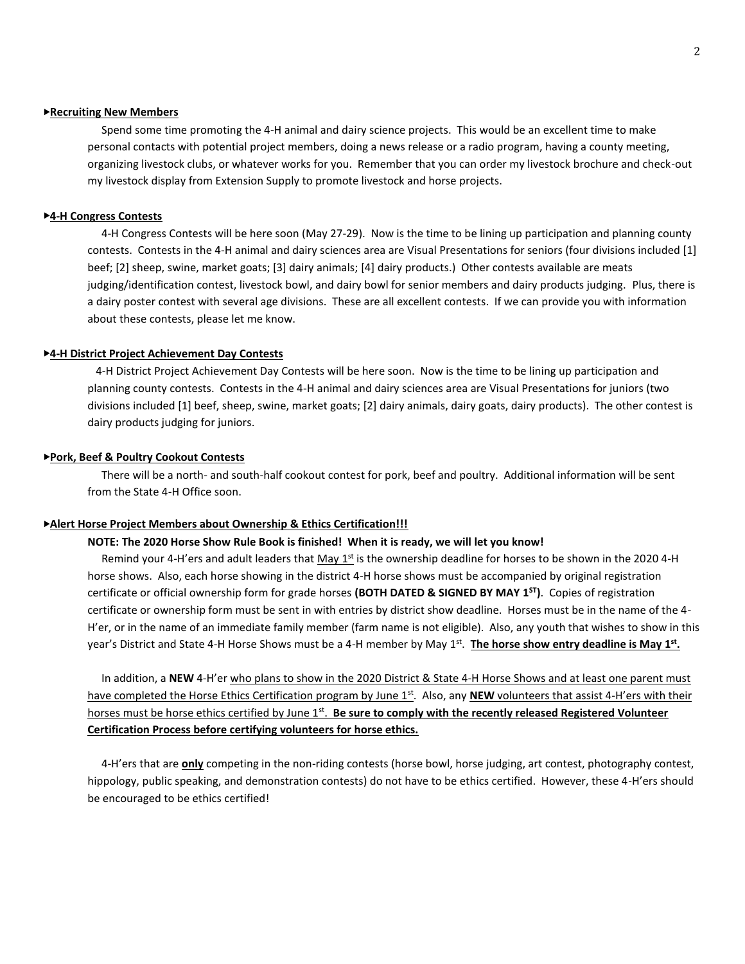### ▶**Recruiting New Members**

 Spend some time promoting the 4-H animal and dairy science projects. This would be an excellent time to make personal contacts with potential project members, doing a news release or a radio program, having a county meeting, organizing livestock clubs, or whatever works for you. Remember that you can order my livestock brochure and check-out my livestock display from Extension Supply to promote livestock and horse projects.

#### ▶**4-H Congress Contests**

 4-H Congress Contests will be here soon (May 27-29). Now is the time to be lining up participation and planning county contests. Contests in the 4-H animal and dairy sciences area are Visual Presentations for seniors (four divisions included [1] beef; [2] sheep, swine, market goats; [3] dairy animals; [4] dairy products.) Other contests available are meats judging/identification contest, livestock bowl, and dairy bowl for senior members and dairy products judging. Plus, there is a dairy poster contest with several age divisions. These are all excellent contests. If we can provide you with information about these contests, please let me know.

### ▶**4-H District Project Achievement Day Contests**

 4-H District Project Achievement Day Contests will be here soon. Now is the time to be lining up participation and planning county contests. Contests in the 4-H animal and dairy sciences area are Visual Presentations for juniors (two divisions included [1] beef, sheep, swine, market goats; [2] dairy animals, dairy goats, dairy products). The other contest is dairy products judging for juniors.

### ▶**Pork, Beef & Poultry Cookout Contests**

 There will be a north- and south-half cookout contest for pork, beef and poultry. Additional information will be sent from the State 4-H Office soon.

### ▶**Alert Horse Project Members about Ownership & Ethics Certification!!!**

## **NOTE: The 2020 Horse Show Rule Book is finished! When it is ready, we will let you know!**

Remind your 4-H'ers and adult leaders that May  $1<sup>st</sup>$  is the ownership deadline for horses to be shown in the 2020 4-H horse shows. Also, each horse showing in the district 4-H horse shows must be accompanied by original registration certificate or official ownership form for grade horses **(BOTH DATED & SIGNED BY MAY 1ST)**. Copies of registration certificate or ownership form must be sent in with entries by district show deadline. Horses must be in the name of the 4- H'er, or in the name of an immediate family member (farm name is not eligible). Also, any youth that wishes to show in this year's District and State 4-H Horse Shows must be a 4-H member by May 1<sup>st</sup>. The horse show entry deadline is May 1<sup>st</sup>.

 In addition, a **NEW** 4-H'er who plans to show in the 2020 District & State 4-H Horse Shows and at least one parent must have completed the Horse Ethics Certification program by June 1<sup>st</sup>. Also, any **NEW** volunteers that assist 4-H'ers with their horses must be horse ethics certified by June 1<sup>st</sup>. Be sure to comply with the recently released Registered Volunteer **Certification Process before certifying volunteers for horse ethics.**

 4-H'ers that are **only** competing in the non-riding contests (horse bowl, horse judging, art contest, photography contest, hippology, public speaking, and demonstration contests) do not have to be ethics certified. However, these 4-H'ers should be encouraged to be ethics certified!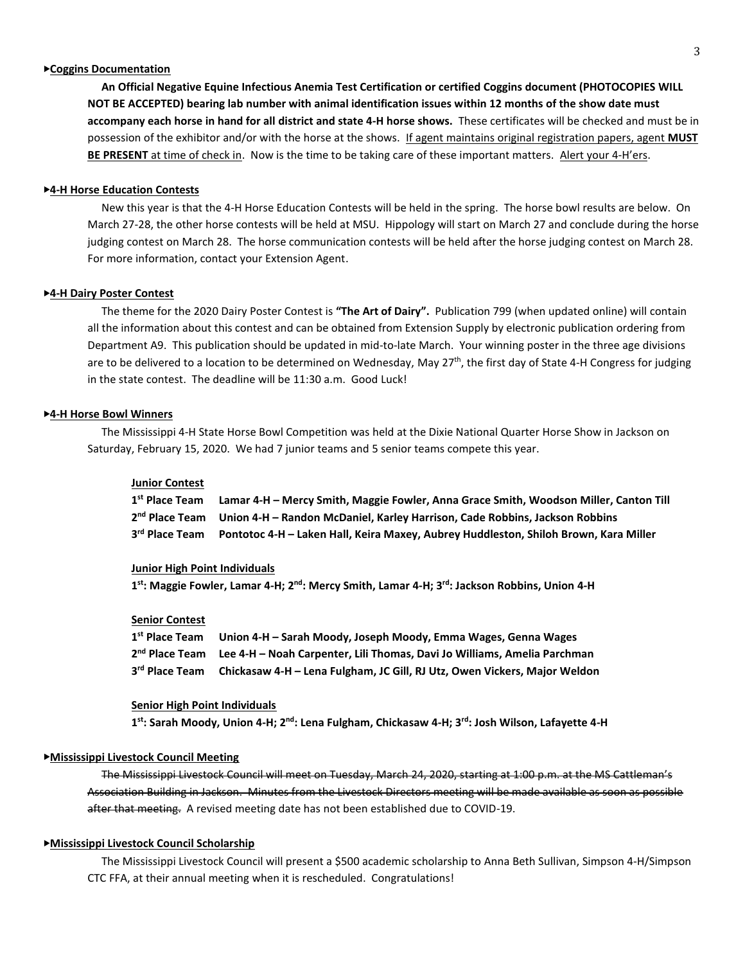## ▶**Coggins Documentation**

 **An Official Negative Equine Infectious Anemia Test Certification or certified Coggins document (PHOTOCOPIES WILL NOT BE ACCEPTED) bearing lab number with animal identification issues within 12 months of the show date must accompany each horse in hand for all district and state 4-H horse shows.** These certificates will be checked and must be in possession of the exhibitor and/or with the horse at the shows. If agent maintains original registration papers, agent **MUST BE PRESENT** at time of check in. Now is the time to be taking care of these important matters. Alert your 4-H'ers.

#### ▶**4-H Horse Education Contests**

 New this year is that the 4-H Horse Education Contests will be held in the spring. The horse bowl results are below. On March 27-28, the other horse contests will be held at MSU. Hippology will start on March 27 and conclude during the horse judging contest on March 28. The horse communication contests will be held after the horse judging contest on March 28. For more information, contact your Extension Agent.

#### ▶**4-H Dairy Poster Contest**

 The theme for the 2020 Dairy Poster Contest is **"The Art of Dairy".** Publication 799 (when updated online) will contain all the information about this contest and can be obtained from Extension Supply by electronic publication ordering from Department A9. This publication should be updated in mid-to-late March. Your winning poster in the three age divisions are to be delivered to a location to be determined on Wednesday, May 27<sup>th</sup>, the first day of State 4-H Congress for judging in the state contest. The deadline will be 11:30 a.m. Good Luck!

### ▶**4-H Horse Bowl Winners**

 The Mississippi 4-H State Horse Bowl Competition was held at the Dixie National Quarter Horse Show in Jackson on Saturday, February 15, 2020. We had 7 junior teams and 5 senior teams compete this year.

### **Junior Contest**

| 1st Place Team Lamar 4-H – Mercy Smith, Maggie Fowler, Anna Grace Smith, Woodson Miller, Canton Till   |
|--------------------------------------------------------------------------------------------------------|
| 2 <sup>nd</sup> Place Team Union 4-H - Randon McDaniel, Karley Harrison, Cade Robbins, Jackson Robbins |
| 3rd Place Team Pontotoc 4-H - Laken Hall, Keira Maxey, Aubrey Huddleston, Shiloh Brown, Kara Miller    |

### **Junior High Point Individuals**

**1 st: Maggie Fowler, Lamar 4-H; 2nd: Mercy Smith, Lamar 4-H; 3rd: Jackson Robbins, Union 4-H**

#### **Senior Contest**

| 1st Place Team Union 4-H - Sarah Moody, Joseph Moody, Emma Wages, Genna Wages                        |
|------------------------------------------------------------------------------------------------------|
| 2 <sup>nd</sup> Place Team Lee 4-H – Noah Carpenter, Lili Thomas, Davi Jo Williams, Amelia Parchman  |
| 3 <sup>rd</sup> Place Team Chickasaw 4-H – Lena Fulgham, JC Gill, RJ Utz, Owen Vickers, Major Weldon |

#### **Senior High Point Individuals**

**1 st: Sarah Moody, Union 4-H; 2nd: Lena Fulgham, Chickasaw 4-H; 3rd: Josh Wilson, Lafayette 4-H**

#### ▶**Mississippi Livestock Council Meeting**

 The Mississippi Livestock Council will meet on Tuesday, March 24, 2020, starting at 1:00 p.m. at the MS Cattleman's Association Building in Jackson. Minutes from the Livestock Directors meeting will be made available as soon as possible after that meeting. A revised meeting date has not been established due to COVID-19.

### ▶**Mississippi Livestock Council Scholarship**

 The Mississippi Livestock Council will present a \$500 academic scholarship to Anna Beth Sullivan, Simpson 4-H/Simpson CTC FFA, at their annual meeting when it is rescheduled. Congratulations!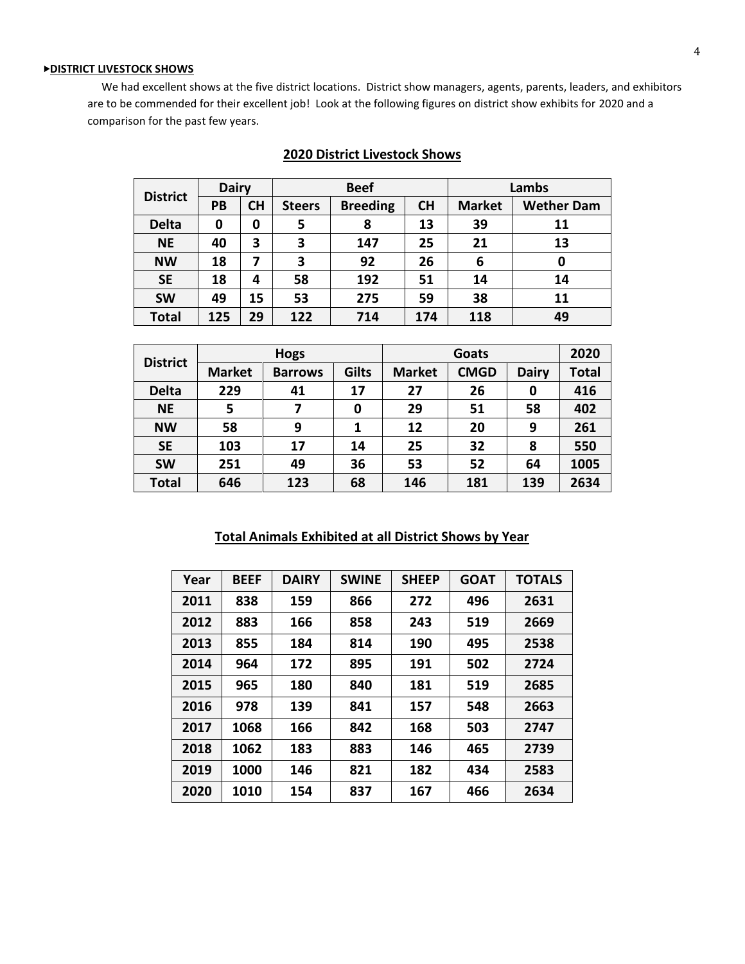## ▶**DISTRICT LIVESTOCK SHOWS**

 We had excellent shows at the five district locations. District show managers, agents, parents, leaders, and exhibitors are to be commended for their excellent job! Look at the following figures on district show exhibits for 2020 and a comparison for the past few years.

| <b>District</b> | <b>Dairy</b> |           | <b>Beef</b>   |                 |           | Lambs         |                   |  |
|-----------------|--------------|-----------|---------------|-----------------|-----------|---------------|-------------------|--|
|                 | <b>PB</b>    | <b>CH</b> | <b>Steers</b> | <b>Breeding</b> | <b>CH</b> | <b>Market</b> | <b>Wether Dam</b> |  |
| <b>Delta</b>    | 0            | 0         | 5             | 8               | 13        | 39            | 11                |  |
| <b>NE</b>       | 40           | 3         | 3             | 147             | 25        | 21            | 13                |  |
| <b>NW</b>       | 18           | 7         | 3             | 92              | 26        | 6             | 0                 |  |
| <b>SE</b>       | 18           | 4         | 58            | 192             | 51        | 14            | 14                |  |
| <b>SW</b>       | 49           | 15        | 53            | 275             | 59        | 38            | 11                |  |
| <b>Total</b>    | 125          | 29        | 122           | 714             | 174       | 118           | 49                |  |

## **2020 District Livestock Shows**

|                 |               | <b>Hogs</b>    |              |               | 2020        |              |              |
|-----------------|---------------|----------------|--------------|---------------|-------------|--------------|--------------|
| <b>District</b> | <b>Market</b> | <b>Barrows</b> | <b>Gilts</b> | <b>Market</b> | <b>CMGD</b> | <b>Dairy</b> | <b>Total</b> |
| <b>Delta</b>    | 229           | 41             | 17           | 27            | 26          | 0            | 416          |
| <b>NE</b>       | 5             |                | 0            | 29            | 51          | 58           | 402          |
| <b>NW</b>       | 58            | 9              | 1            | 12            | 20          | 9            | 261          |
| <b>SE</b>       | 103           | 17             | 14           | 25            | 32          | 8            | 550          |
| <b>SW</b>       | 251           | 49             | 36           | 53            | 52          | 64           | 1005         |
| <b>Total</b>    | 646           | 123            | 68           | 146           | 181         | 139          | 2634         |

## **Total Animals Exhibited at all District Shows by Year**

| Year | <b>BEEF</b> | <b>DAIRY</b> | <b>SWINE</b> | <b>SHEEP</b> | <b>GOAT</b> | <b>TOTALS</b> |
|------|-------------|--------------|--------------|--------------|-------------|---------------|
| 2011 | 838         | 159          | 866          | 272          | 496         | 2631          |
| 2012 | 883         | 166          | 858          | 243          | 519         | 2669          |
| 2013 | 855         | 184          | 814          | 190          | 495         | 2538          |
| 2014 | 964         | 172          | 895          | 191          | 502         | 2724          |
| 2015 | 965         | 180          | 840          | 181          | 519         | 2685          |
| 2016 | 978         | 139          | 841          | 157          | 548         | 2663          |
| 2017 | 1068        | 166          | 842          | 168          | 503         | 2747          |
| 2018 | 1062        | 183          | 883          | 146          | 465         | 2739          |
| 2019 | 1000        | 146          | 821          | 182          | 434         | 2583          |
| 2020 | 1010        | 154          | 837          | 167          | 466         | 2634          |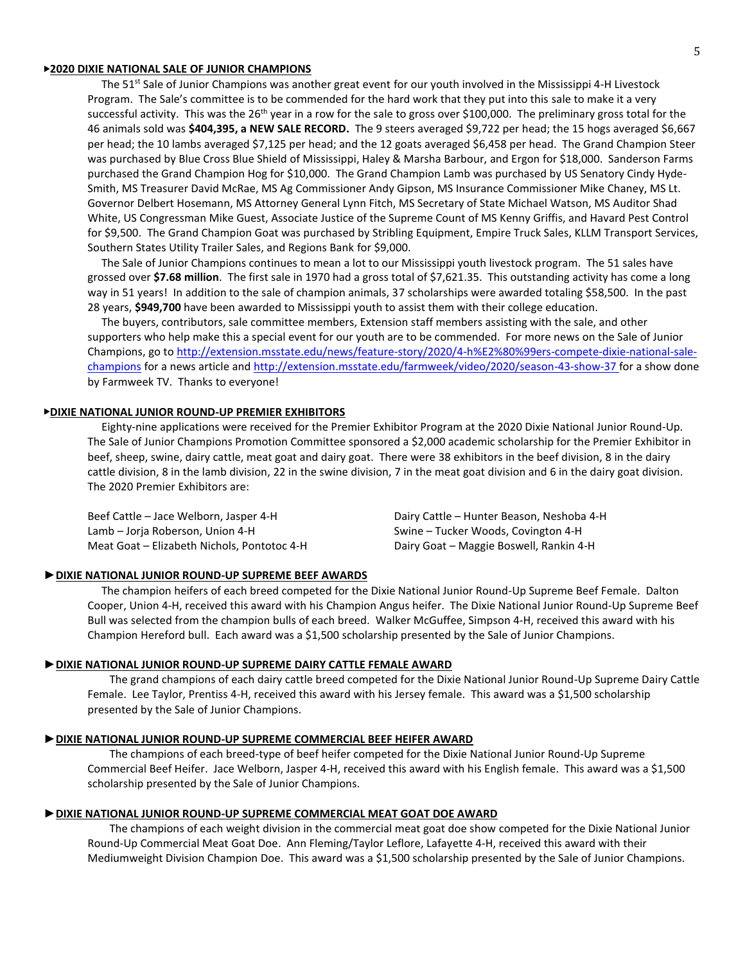#### ▶**2020 DIXIE NATIONAL SALE OF JUNIOR CHAMPIONS**

The 51<sup>st</sup> Sale of Junior Champions was another great event for our youth involved in the Mississippi 4-H Livestock Program. The Sale's committee is to be commended for the hard work that they put into this sale to make it a very successful activity. This was the 26<sup>th</sup> year in a row for the sale to gross over \$100,000. The preliminary gross total for the 46 animals sold was **\$404,395, a NEW SALE RECORD.** The 9 steers averaged \$9,722 per head; the 15 hogs averaged \$6,667 per head; the 10 lambs averaged \$7,125 per head; and the 12 goats averaged \$6,458 per head. The Grand Champion Steer was purchased by Blue Cross Blue Shield of Mississippi, Haley & Marsha Barbour, and Ergon for \$18,000. Sanderson Farms purchased the Grand Champion Hog for \$10,000. The Grand Champion Lamb was purchased by US Senatory Cindy Hyde-Smith, MS Treasurer David McRae, MS Ag Commissioner Andy Gipson, MS Insurance Commissioner Mike Chaney, MS Lt. Governor Delbert Hosemann, MS Attorney General Lynn Fitch, MS Secretary of State Michael Watson, MS Auditor Shad White, US Congressman Mike Guest, Associate Justice of the Supreme Count of MS Kenny Griffis, and Havard Pest Control for \$9,500. The Grand Champion Goat was purchased by Stribling Equipment, Empire Truck Sales, KLLM Transport Services, Southern States Utility Trailer Sales, and Regions Bank for \$9,000.

 The Sale of Junior Champions continues to mean a lot to our Mississippi youth livestock program. The 51 sales have grossed over **\$7.68 million**. The first sale in 1970 had a gross total of \$7,621.35. This outstanding activity has come a long way in 51 years! In addition to the sale of champion animals, 37 scholarships were awarded totaling \$58,500. In the past 28 years, **\$949,700** have been awarded to Mississippi youth to assist them with their college education.

 The buyers, contributors, sale committee members, Extension staff members assisting with the sale, and other supporters who help make this a special event for our youth are to be commended. For more news on the Sale of Junior Champions, go to http://extension.msstate.edu/news/feature-story/2020/4-h%E2%80%99ers-compete-dixie-national-salechampions for a news article an[d http://extension.msstate.edu/farmweek/video/2020/season-43-show-37](http://extension.msstate.edu/farmweek/video/2020/season-43-show-37) for a show done by Farmweek TV. Thanks to everyone!

#### ▶**DIXIE NATIONAL JUNIOR ROUND-UP PREMIER EXHIBITORS**

 Eighty-nine applications were received for the Premier Exhibitor Program at the 2020 Dixie National Junior Round-Up. The Sale of Junior Champions Promotion Committee sponsored a \$2,000 academic scholarship for the Premier Exhibitor in beef, sheep, swine, dairy cattle, meat goat and dairy goat. There were 38 exhibitors in the beef division, 8 in the dairy cattle division, 8 in the lamb division, 22 in the swine division, 7 in the meat goat division and 6 in the dairy goat division. The 2020 Premier Exhibitors are:

Beef Cattle – Jace Welborn, Jasper 4-H Dairy Cattle – Hunter Beason, Neshoba 4-H Lamb – Jorja Roberson, Union 4-H Swine – Tucker Woods, Covington 4-H Meat Goat – Elizabeth Nichols, Pontotoc 4-H Dairy Goat – Maggie Boswell, Rankin 4-H

#### ►**DIXIE NATIONAL JUNIOR ROUND-UP SUPREME BEEF AWARDS**

 The champion heifers of each breed competed for the Dixie National Junior Round-Up Supreme Beef Female. Dalton Cooper, Union 4-H, received this award with his Champion Angus heifer. The Dixie National Junior Round-Up Supreme Beef Bull was selected from the champion bulls of each breed. Walker McGuffee, Simpson 4-H, received this award with his Champion Hereford bull. Each award was a \$1,500 scholarship presented by the Sale of Junior Champions.

#### ►**DIXIE NATIONAL JUNIOR ROUND-UP SUPREME DAIRY CATTLE FEMALE AWARD**

The grand champions of each dairy cattle breed competed for the Dixie National Junior Round-Up Supreme Dairy Cattle Female. Lee Taylor, Prentiss 4-H, received this award with his Jersey female. This award was a \$1,500 scholarship presented by the Sale of Junior Champions.

### ►**DIXIE NATIONAL JUNIOR ROUND-UP SUPREME COMMERCIAL BEEF HEIFER AWARD**

The champions of each breed-type of beef heifer competed for the Dixie National Junior Round-Up Supreme Commercial Beef Heifer. Jace Welborn, Jasper 4-H, received this award with his English female. This award was a \$1,500 scholarship presented by the Sale of Junior Champions.

#### ►**DIXIE NATIONAL JUNIOR ROUND-UP SUPREME COMMERCIAL MEAT GOAT DOE AWARD**

The champions of each weight division in the commercial meat goat doe show competed for the Dixie National Junior Round-Up Commercial Meat Goat Doe. Ann Fleming/Taylor Leflore, Lafayette 4-H, received this award with their Mediumweight Division Champion Doe. This award was a \$1,500 scholarship presented by the Sale of Junior Champions.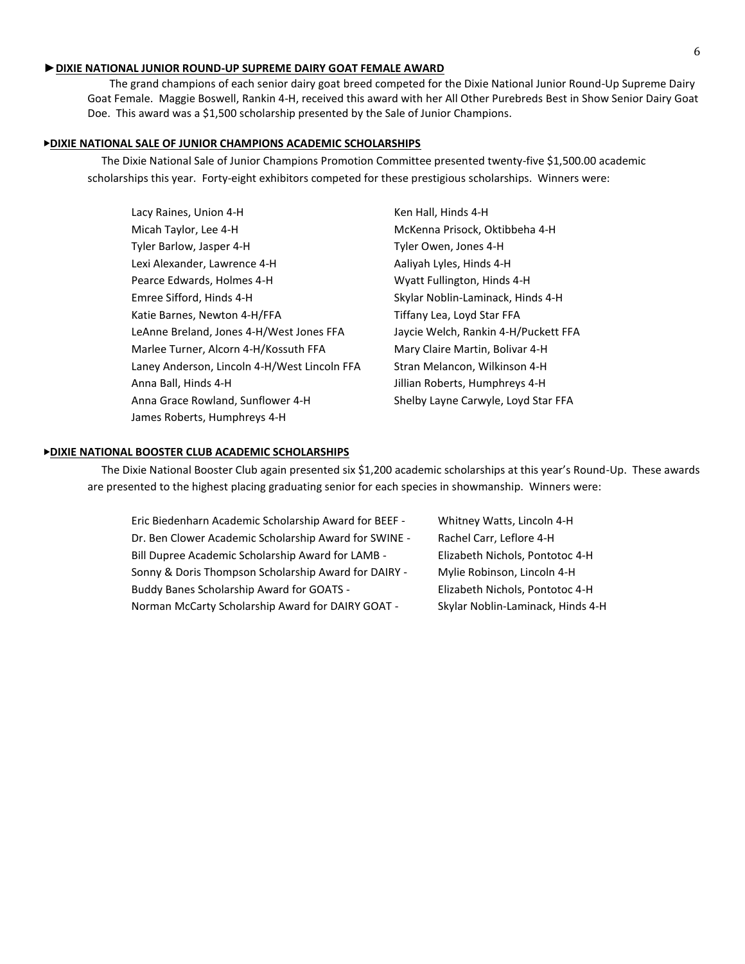## ►**DIXIE NATIONAL JUNIOR ROUND-UP SUPREME DAIRY GOAT FEMALE AWARD**

The grand champions of each senior dairy goat breed competed for the Dixie National Junior Round-Up Supreme Dairy Goat Female. Maggie Boswell, Rankin 4-H, received this award with her All Other Purebreds Best in Show Senior Dairy Goat Doe. This award was a \$1,500 scholarship presented by the Sale of Junior Champions.

## ▶**DIXIE NATIONAL SALE OF JUNIOR CHAMPIONS ACADEMIC SCHOLARSHIPS**

 The Dixie National Sale of Junior Champions Promotion Committee presented twenty-five \$1,500.00 academic scholarships this year. Forty-eight exhibitors competed for these prestigious scholarships. Winners were:

| Lacy Raines, Union 4-H                       | Ken Hall, Hinds 4-H                  |
|----------------------------------------------|--------------------------------------|
| Micah Taylor, Lee 4-H                        | McKenna Prisock, Oktibbeha 4-H       |
| Tyler Barlow, Jasper 4-H                     | Tyler Owen, Jones 4-H                |
| Lexi Alexander, Lawrence 4-H                 | Aaliyah Lyles, Hinds 4-H             |
| Pearce Edwards, Holmes 4-H                   | Wyatt Fullington, Hinds 4-H          |
| Emree Sifford, Hinds 4-H                     | Skylar Noblin-Laminack, Hinds 4-H    |
| Katie Barnes, Newton 4-H/FFA                 | Tiffany Lea, Loyd Star FFA           |
| LeAnne Breland, Jones 4-H/West Jones FFA     | Jaycie Welch, Rankin 4-H/Puckett FFA |
| Marlee Turner, Alcorn 4-H/Kossuth FFA        | Mary Claire Martin, Bolivar 4-H      |
| Laney Anderson, Lincoln 4-H/West Lincoln FFA | Stran Melancon, Wilkinson 4-H        |
| Anna Ball, Hinds 4-H                         | Jillian Roberts, Humphreys 4-H       |
| Anna Grace Rowland, Sunflower 4-H            | Shelby Layne Carwyle, Loyd Star FFA  |
| James Roberts, Humphreys 4-H                 |                                      |

### ▶**DIXIE NATIONAL BOOSTER CLUB ACADEMIC SCHOLARSHIPS**

 The Dixie National Booster Club again presented six \$1,200 academic scholarships at this year's Round-Up. These awards are presented to the highest placing graduating senior for each species in showmanship. Winners were:

| Eric Biedenharn Academic Scholarship Award for BEEF - | Whitney Watts, Lincoln 4-H        |
|-------------------------------------------------------|-----------------------------------|
| Dr. Ben Clower Academic Scholarship Award for SWINE - | Rachel Carr, Leflore 4-H          |
| Bill Dupree Academic Scholarship Award for LAMB -     | Elizabeth Nichols, Pontotoc 4-H   |
| Sonny & Doris Thompson Scholarship Award for DAIRY -  | Mylie Robinson, Lincoln 4-H       |
| Buddy Banes Scholarship Award for GOATS -             | Elizabeth Nichols, Pontotoc 4-H   |
| Norman McCarty Scholarship Award for DAIRY GOAT -     | Skylar Noblin-Laminack, Hinds 4-H |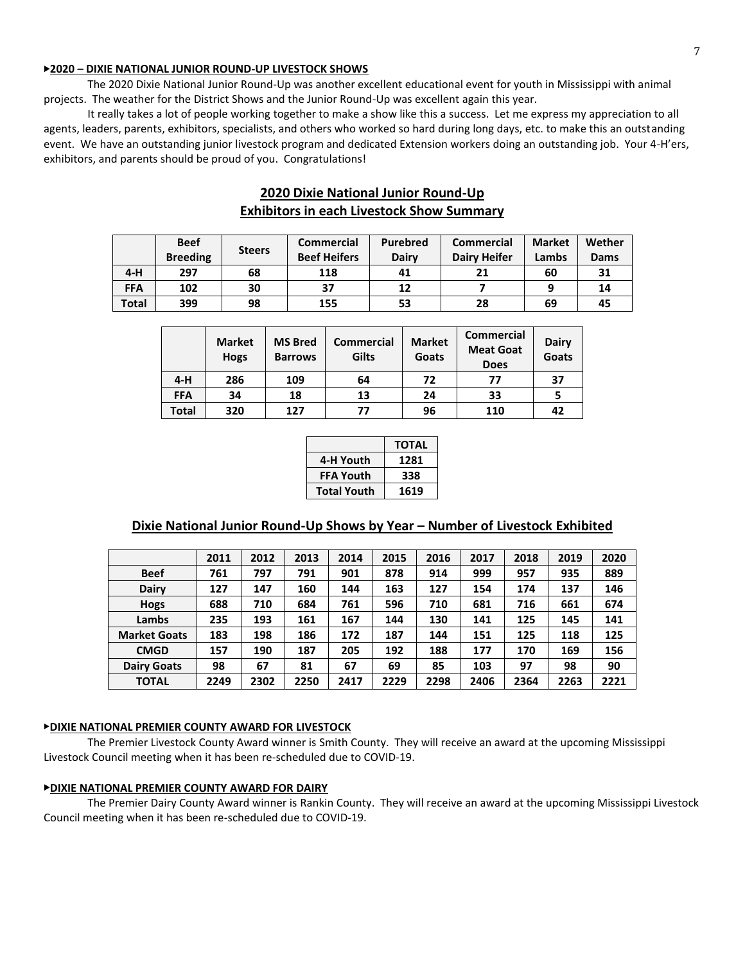## ▶**2020 – DIXIE NATIONAL JUNIOR ROUND-UP LIVESTOCK SHOWS**

The 2020 Dixie National Junior Round-Up was another excellent educational event for youth in Mississippi with animal projects. The weather for the District Shows and the Junior Round-Up was excellent again this year.

It really takes a lot of people working together to make a show like this a success. Let me express my appreciation to all agents, leaders, parents, exhibitors, specialists, and others who worked so hard during long days, etc. to make this an outstanding event. We have an outstanding junior livestock program and dedicated Extension workers doing an outstanding job. Your 4-H'ers, exhibitors, and parents should be proud of you. Congratulations!

## **2020 Dixie National Junior Round-Up Exhibitors in each Livestock Show Summary**

|            | <b>Beef</b><br><b>Breeding</b> | <b>Steers</b> | Commercial<br><b>Beef Heifers</b> | <b>Purebred</b><br><b>Dairy</b> | <b>Commercial</b><br><b>Dairy Heifer</b> | <b>Market</b><br>Lambs | Wether<br>Dams |
|------------|--------------------------------|---------------|-----------------------------------|---------------------------------|------------------------------------------|------------------------|----------------|
| $4-H$      | 297                            | 68            | 118                               | 41                              | 21                                       | 60                     | 31             |
| <b>FFA</b> | 102                            | 30            | 37                                | 12                              |                                          |                        | 14             |
| Total      | 399                            | 98            | 155                               | 53                              | 28                                       | 69                     | 45             |

|            | <b>Market</b><br><b>Hogs</b> | <b>MS Bred</b><br><b>Barrows</b> | <b>Commercial</b><br>Gilts | <b>Market</b><br>Goats | Commercial<br><b>Meat Goat</b><br><b>Does</b> | <b>Dairy</b><br>Goats |
|------------|------------------------------|----------------------------------|----------------------------|------------------------|-----------------------------------------------|-----------------------|
| $4-H$      | 286                          | 109                              | 64                         | 72                     | 77                                            | 37                    |
| <b>FFA</b> | 34                           | 18                               | 13                         | 24                     | 33                                            |                       |
| Total      | 320                          | 127                              | 77                         | 96                     | 110                                           | 42                    |

|                    | <b>TOTAL</b> |
|--------------------|--------------|
| 4-H Youth          | 1281         |
| <b>FFA Youth</b>   | 338          |
| <b>Total Youth</b> | 1619         |

## **Dixie National Junior Round-Up Shows by Year – Number of Livestock Exhibited**

|                     | 2011 | 2012 | 2013 | 2014 | 2015 | 2016 | 2017 | 2018 | 2019 | 2020 |
|---------------------|------|------|------|------|------|------|------|------|------|------|
| <b>Beef</b>         | 761  | 797  | 791  | 901  | 878  | 914  | 999  | 957  | 935  | 889  |
| Dairy               | 127  | 147  | 160  | 144  | 163  | 127  | 154  | 174  | 137  | 146  |
| <b>Hogs</b>         | 688  | 710  | 684  | 761  | 596  | 710  | 681  | 716  | 661  | 674  |
| Lambs               | 235  | 193  | 161  | 167  | 144  | 130  | 141  | 125  | 145  | 141  |
| <b>Market Goats</b> | 183  | 198  | 186  | 172  | 187  | 144  | 151  | 125  | 118  | 125  |
| <b>CMGD</b>         | 157  | 190  | 187  | 205  | 192  | 188  | 177  | 170  | 169  | 156  |
| <b>Dairy Goats</b>  | 98   | 67   | 81   | 67   | 69   | 85   | 103  | 97   | 98   | 90   |
| <b>TOTAL</b>        | 2249 | 2302 | 2250 | 2417 | 2229 | 2298 | 2406 | 2364 | 2263 | 2221 |

### ▶**DIXIE NATIONAL PREMIER COUNTY AWARD FOR LIVESTOCK**

The Premier Livestock County Award winner is Smith County. They will receive an award at the upcoming Mississippi Livestock Council meeting when it has been re-scheduled due to COVID-19.

## ▶**DIXIE NATIONAL PREMIER COUNTY AWARD FOR DAIRY**

The Premier Dairy County Award winner is Rankin County. They will receive an award at the upcoming Mississippi Livestock Council meeting when it has been re-scheduled due to COVID-19.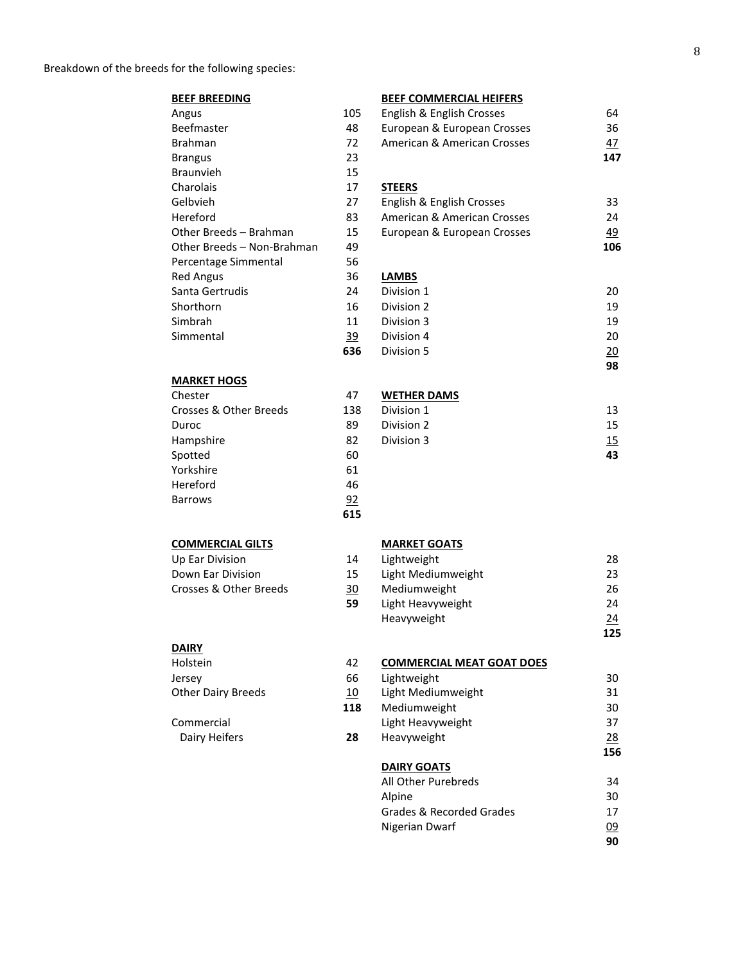| <b>BEEF BREEDING</b>       |           | <b>BEEF COMMERCIAL HEIFERS</b> |           |
|----------------------------|-----------|--------------------------------|-----------|
| Angus                      | 105       | English & English Crosses      | 64        |
| Beefmaster                 | 48        | European & European Crosses    | 36        |
| <b>Brahman</b>             | 72        | American & American Crosses    | 47        |
| <b>Brangus</b>             | 23        |                                | 147       |
| <b>Braunvieh</b>           | 15        |                                |           |
| Charolais                  | 17        | <b>STEERS</b>                  |           |
| Gelbvieh                   | 27        | English & English Crosses      | 33        |
| Hereford                   | 83        | American & American Crosses    | 24        |
| Other Breeds - Brahman     | 15        | European & European Crosses    | <u>49</u> |
| Other Breeds - Non-Brahman | 49        |                                | 106       |
| Percentage Simmental       | 56        |                                |           |
| <b>Red Angus</b>           | 36        | <b>LAMBS</b>                   |           |
| Santa Gertrudis            | 24        | Division 1                     | 20        |
| Shorthorn                  | 16        | Division 2                     | 19        |
| Simbrah                    | 11        | Division 3                     | 19        |
| Simmental                  | <u>39</u> | Division 4                     | 20        |
|                            | 636       | Division 5                     | 20        |
|                            |           |                                | 98        |
| <b>MARKET HOGS</b>         |           |                                |           |
| Chester                    | 47        | <b>WETHER DAMS</b>             |           |
| Crosses & Other Breeds     | 138       | Division 1                     | 13        |
| Duroc                      | 89        | Division 2                     | 15        |
| Hampshire                  | 82        | Division 3                     | 15        |

**28**

## **COMMERCIAL GILTS**

| Up Ear Division        | 14 |
|------------------------|----|
| Down Ear Division      | 15 |
| Crosses & Other Breeds | 30 |
|                        | 59 |

## **DAIRY**

Spotted Yorkshire Hereford Barrows

| Holstein                  |  |
|---------------------------|--|
| Jersey                    |  |
| <b>Other Dairy Breeds</b> |  |
|                           |  |
| Commercial                |  |
| Dairy Heifers             |  |

## **MARKET GOATS**

| Lightweight        | 28  |
|--------------------|-----|
| Light Mediumweight | 23  |
| Mediumweight       | 26  |
| Light Heavyweight  | 24  |
| Heavyweight        | 24  |
|                    | 125 |

**43**

#### **COMMERCIAL MEAT GOAT DOES** Lightweight Light Mediumweight Mediumweight Light Heavyweight Heavyweight 30 31 30 37 28 **156**

## **DAIRY GOATS**

| All Other Purebreds      | 34        |
|--------------------------|-----------|
| Alpine                   | 30        |
| Grades & Recorded Grades | 17        |
| Nigerian Dwarf           | <u>09</u> |
|                          | ۹N        |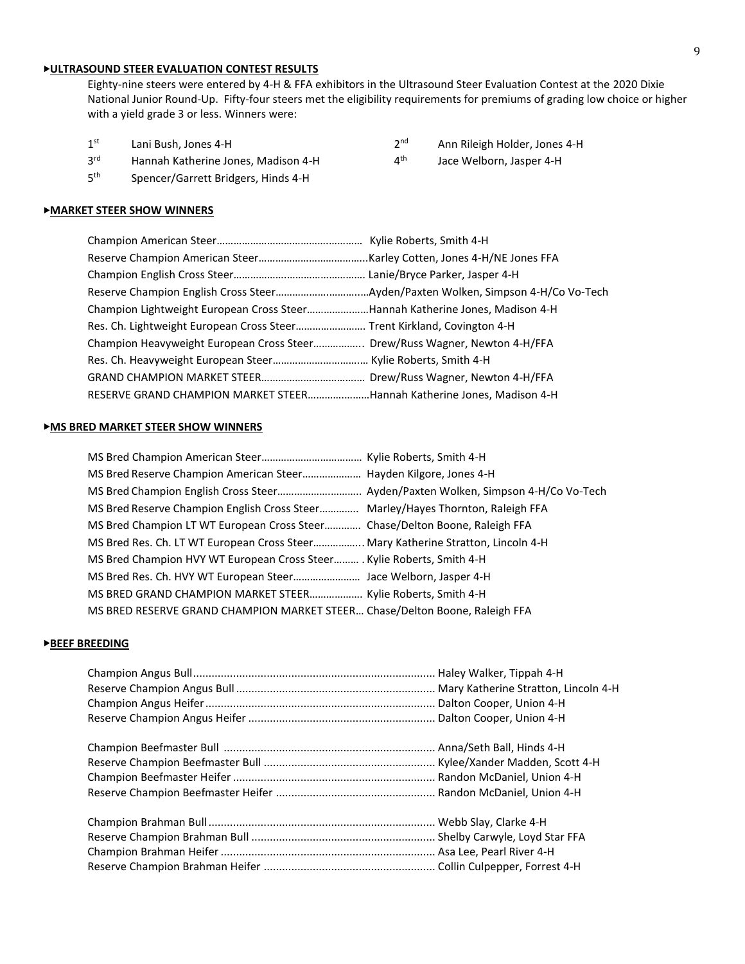## ▶**ULTRASOUND STEER EVALUATION CONTEST RESULTS**

Eighty-nine steers were entered by 4-H & FFA exhibitors in the Ultrasound Steer Evaluation Contest at the 2020 Dixie National Junior Round-Up. Fifty-four steers met the eligibility requirements for premiums of grading low choice or higher with a yield grade 3 or less. Winners were:

- $1<sup>st</sup>$ Lani Bush, Jones 4-H 2<sup>nd</sup>
- 3rd Hannah Katherine Jones, Madison 4-H 4<sup>th</sup>
- $5<sup>th</sup>$ Spencer/Garrett Bridgers, Hinds 4-H

## ▶**MARKET STEER SHOW WINNERS**

| Champion Lightweight European Cross SteerHannah Katherine Jones, Madison 4-H |  |
|------------------------------------------------------------------------------|--|
| Res. Ch. Lightweight European Cross Steer Trent Kirkland, Covington 4-H      |  |
| Champion Heavyweight European Cross Steer Drew/Russ Wagner, Newton 4-H/FFA   |  |
|                                                                              |  |
|                                                                              |  |
| RESERVE GRAND CHAMPION MARKET STEERHannah Katherine Jones, Madison 4-H       |  |

#### ▶**MS BRED MARKET STEER SHOW WINNERS**

| MS Bred Reserve Champion English Cross Steer Marley/Hayes Thornton, Raleigh FFA  |
|----------------------------------------------------------------------------------|
| MS Bred Champion LT WT European Cross Steer Chase/Delton Boone, Raleigh FFA      |
| MS Bred Res. Ch. LT WT European Cross Steer Mary Katherine Stratton, Lincoln 4-H |
| MS Bred Champion HVY WT European Cross Steer Kylie Roberts, Smith 4-H            |
|                                                                                  |
| MS BRED GRAND CHAMPION MARKET STEER Kylie Roberts, Smith 4-H                     |
| MS BRED RESERVE GRAND CHAMPION MARKET STEER Chase/Delton Boone, Raleigh FFA      |

## ▶**BEEF BREEDING**

- Ann Rileigh Holder, Jones 4-H
- Jace Welborn, Jasper 4-H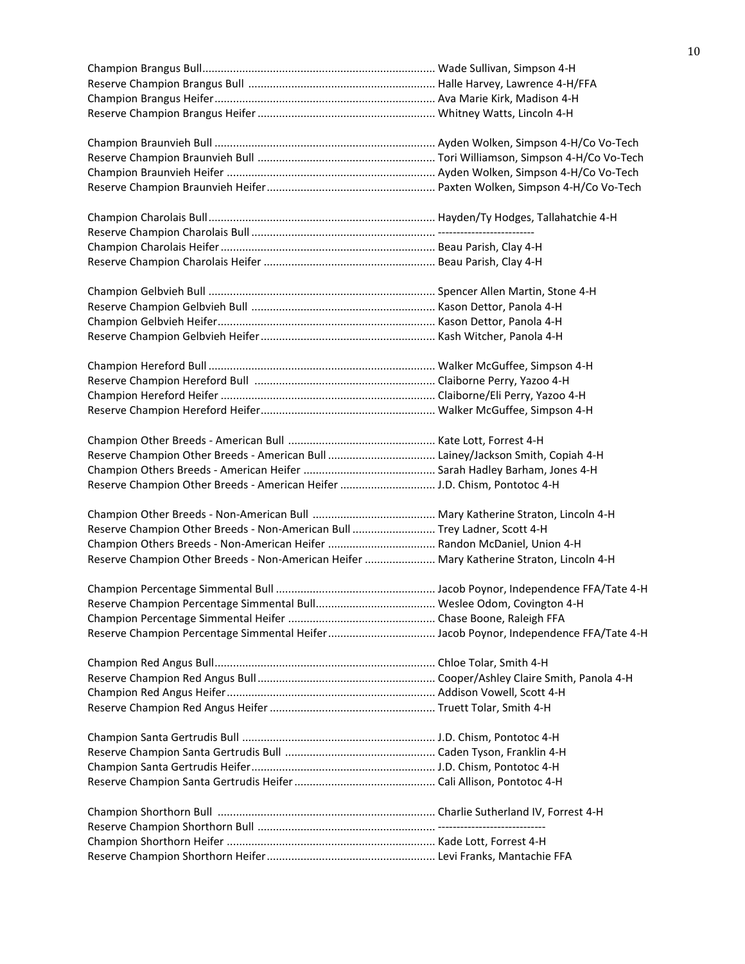| Reserve Champion Other Breeds - American Heifer  J.D. Chism, Pontotoc 4-H                |  |
|------------------------------------------------------------------------------------------|--|
|                                                                                          |  |
| Reserve Champion Other Breeds - Non-American Bull  Trey Ladner, Scott 4-H                |  |
|                                                                                          |  |
| Reserve Champion Other Breeds - Non-American Heifer  Mary Katherine Straton, Lincoln 4-H |  |
|                                                                                          |  |
|                                                                                          |  |
|                                                                                          |  |
|                                                                                          |  |
|                                                                                          |  |
|                                                                                          |  |
|                                                                                          |  |
|                                                                                          |  |
|                                                                                          |  |
|                                                                                          |  |
|                                                                                          |  |
|                                                                                          |  |
|                                                                                          |  |
|                                                                                          |  |
|                                                                                          |  |
|                                                                                          |  |
|                                                                                          |  |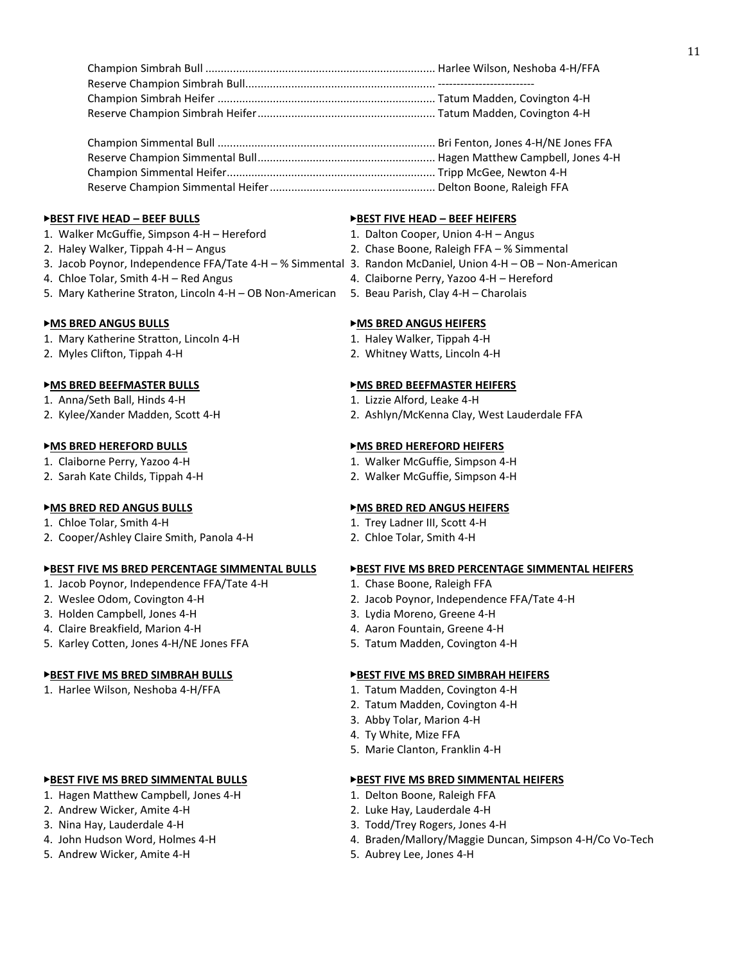### ▶**BEST FIVE HEAD – BEEF BULLS** ▶**BEST FIVE HEAD – BEEF HEIFERS**

- 1. Walker McGuffie, Simpson 4-H Hereford 1. Dalton Cooper, Union 4-H Angus
- 
- 3. Jacob Poynor, Independence FFA/Tate 4-H % Simmental 3. Randon McDaniel, Union 4-H OB Non-American
- 
- 5. Mary Katherine Straton, Lincoln 4-H OB Non-American 5. Beau Parish, Clay 4-H Charolais

- 1. Mary Katherine Stratton, Lincoln 4-H 1. Haley Walker, Tippah 4-H
- 2. Myles Clifton, Tippah 4-H 2. Whitney Watts, Lincoln 4-H

- 1. Anna/Seth Ball, Hinds 4-H 1. Lizzie Alford, Leake 4-H
- 

- 
- 2. Sarah Kate Childs, Tippah 4-H 2. Walker McGuffie, Simpson 4-H

- 
- 2. Cooper/Ashley Claire Smith, Panola 4-H 2. Chloe Tolar, Smith 4-H

- 1. Jacob Poynor, Independence FFA/Tate 4-H 1. Chase Boone, Raleigh FFA
- 
- 3. Holden Campbell, Jones 4-H 3. Lydia Moreno, Greene 4-H
- 4. Claire Breakfield, Marion 4-H 4. Aaron Fountain, Greene 4-H
- 5. Karley Cotten, Jones 4-H/NE Jones FFA 5. Tatum Madden, Covington 4-H

1. Harlee Wilson, Neshoba 4-H/FFA 1. Tatum Madden, Covington 4-H

- 1. Hagen Matthew Campbell, Jones 4-H 1. Delton Boone, Raleigh FFA
- 2. Andrew Wicker, Amite 4-H 2. Luke Hay, Lauderdale 4-H
- 
- 
- 5. Andrew Wicker, Amite 4-H 5. Aubrey Lee, Jones 4-H

- 
- 2. Haley Walker, Tippah 4-H Angus 2. Chase Boone, Raleigh FFA % Simmental
	-
- 4. Chloe Tolar, Smith 4-H Red Angus 4. Claiborne Perry, Yazoo 4-H Hereford
	-

## ▶**MS BRED ANGUS BULLS** ▶**MS BRED ANGUS HEIFERS**

- 
- 

## ▶**MS BRED BEEFMASTER BULLS** ▶**MS BRED BEEFMASTER HEIFERS**

- 
- 2. Kylee/Xander Madden, Scott 4-H 2. Ashlyn/McKenna Clay, West Lauderdale FFA

## ▶**MS BRED HEREFORD BULLS** ▶**MS BRED HEREFORD HEIFERS**

- 1. Claiborne Perry, Yazoo 4-H 1. Walker McGuffie, Simpson 4-H
	-

## ▶**MS BRED RED ANGUS BULLS** ▶**MS BRED RED ANGUS HEIFERS**

- 1. Chloe Tolar, Smith 4-H 1. Trey Ladner III, Scott 4-H
	-

## ▶**BEST FIVE MS BRED PERCENTAGE SIMMENTAL BULLS** ▶**BEST FIVE MS BRED PERCENTAGE SIMMENTAL HEIFERS**

- 
- 2. Weslee Odom, Covington 4-H 2. Jacob Poynor, Independence FFA/Tate 4-H
	-
	-
	-

### ▶**BEST FIVE MS BRED SIMBRAH BULLS** ▶**BEST FIVE MS BRED SIMBRAH HEIFERS**

- 
- 2. Tatum Madden, Covington 4-H
- 3. Abby Tolar, Marion 4-H
- 4. Ty White, Mize FFA
- 5. Marie Clanton, Franklin 4-H

### ▶**BEST FIVE MS BRED SIMMENTAL BULLS** ▶**BEST FIVE MS BRED SIMMENTAL HEIFERS**

- 
- 
- 3. Nina Hay, Lauderdale 4-H 3. Todd/Trey Rogers, Jones 4-H
- 4. John Hudson Word, Holmes 4-H 4. Braden/Mallory/Maggie Duncan, Simpson 4-H/Co Vo-Tech
	-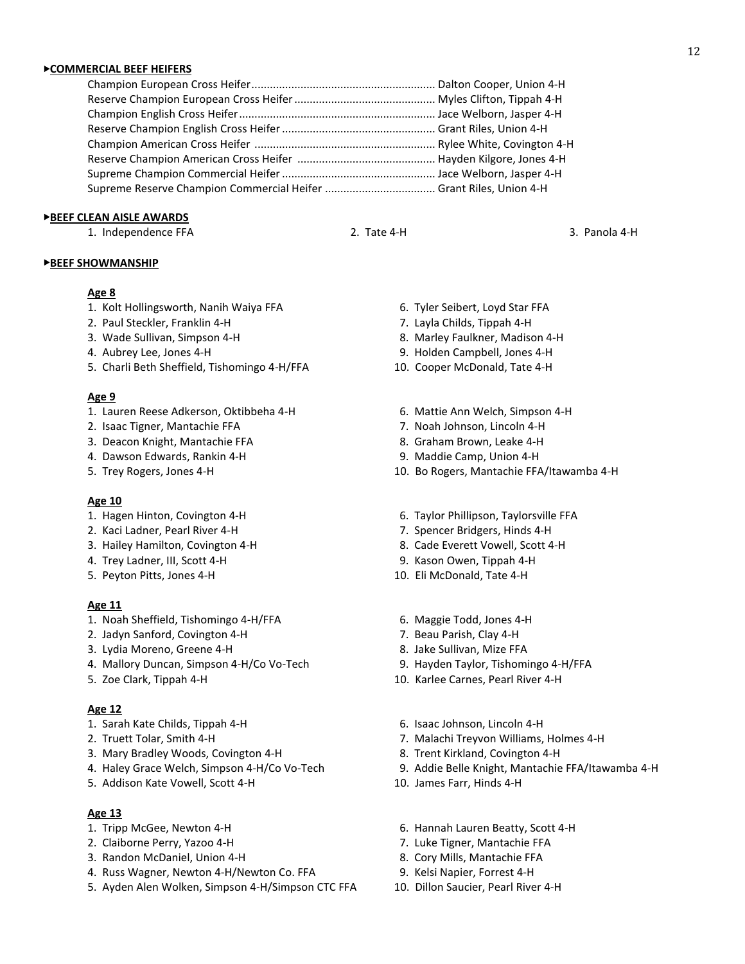### ▶**COMMERCIAL BEEF HEIFERS**

#### ▶**BEEF CLEAN AISLE AWARDS**

1. Independence FFA 2. Tate 4-H 3. Panola 4-H

#### ▶**BEEF SHOWMANSHIP**

## **Age 8**

- 1. Kolt Hollingsworth, Nanih Waiya FFA 6. Tyler Seibert, Loyd Star FFA
- 2. Paul Steckler, Franklin 4-H 7. Layla Childs, Tippah 4-H
- 3. Wade Sullivan, Simpson 4-H 8. Marley Faulkner, Madison 4-H
- 
- 5. Charli Beth Sheffield, Tishomingo 4-H/FFA 10. Cooper McDonald, Tate 4-H

#### **Age 9**

- 1. Lauren Reese Adkerson, Oktibbeha 4-H 6. Mattie Ann Welch, Simpson 4-H
- 2. Isaac Tigner, Mantachie FFA 7. Noah Johnson, Lincoln 4-H
- 3. Deacon Knight, Mantachie FFA 8. Graham Brown, Leake 4-H
- 4. Dawson Edwards, Rankin 4-H 9. Maddie Camp, Union 4-H
- 

### **Age 10**

- 
- 2. Kaci Ladner, Pearl River 4-H 7. Spencer Bridgers, Hinds 4-H
- 3. Hailey Hamilton, Covington 4-H 8. Cade Everett Vowell, Scott 4-H
- 4. Trey Ladner, III, Scott 4-H 9. Kason Owen, Tippah 4-H
- 

#### **Age 11**

- 1. Noah Sheffield, Tishomingo 4-H/FFA 6. Maggie Todd, Jones 4-H
- 2. Jadyn Sanford, Covington 4-H 7. Beau Parish, Clay 4-H
- 3. Lydia Moreno, Greene 4-H 8. Jake Sullivan, Mize FFA
- 4. Mallory Duncan, Simpson 4-H/Co Vo-Tech 9. Hayden Taylor, Tishomingo 4-H/FFA
- 

#### **Age 12**

- 
- 
- 3. Mary Bradley Woods, Covington 4-H 8. Trent Kirkland, Covington 4-H
- 
- 5. Addison Kate Vowell, Scott 4-H 10. James Farr, Hinds 4-H

## **Age 13**

- 
- 2. Claiborne Perry, Yazoo 4-H 7. Luke Tigner, Mantachie FFA
- 3. Randon McDaniel, Union 4-H 8. Cory Mills, Mantachie FFA
- 4. Russ Wagner, Newton 4-H/Newton Co. FFA 9. Kelsi Napier, Forrest 4-H
- 5. Ayden Alen Wolken, Simpson 4-H/Simpson CTC FFA 10. Dillon Saucier, Pearl River 4-H
- 
- 
- 
- 4. Aubrey Lee, Jones 4-H 9. Holden Campbell, Jones 4-H
	-
	-
	-
	-
	-
- 5. Trey Rogers, Jones 4-H 10. Bo Rogers, Mantachie FFA/Itawamba 4-H
- 1. Hagen Hinton, Covington 4-H 6. Taylor Phillipson, Taylorsville FFA
	-
	-
	-
- 5. Peyton Pitts, Jones 4-H 10. Eli McDonald, Tate 4-H
	-
	-
	-
	-
- 5. Zoe Clark, Tippah 4-H 10. Karlee Carnes, Pearl River 4-H
- 1. Sarah Kate Childs, Tippah 4-H 6. Isaac Johnson, Lincoln 4-H
- 2. Truett Tolar, Smith 4-H 7. Malachi Treyvon Williams, Holmes 4-H
	-
- 4. Haley Grace Welch, Simpson 4-H/Co Vo-Tech 9. Addie Belle Knight, Mantachie FFA/Itawamba 4-H
	-
- 1. Tripp McGee, Newton 4-H 6. Hannah Lauren Beatty, Scott 4-H
	-
	-
	-
	-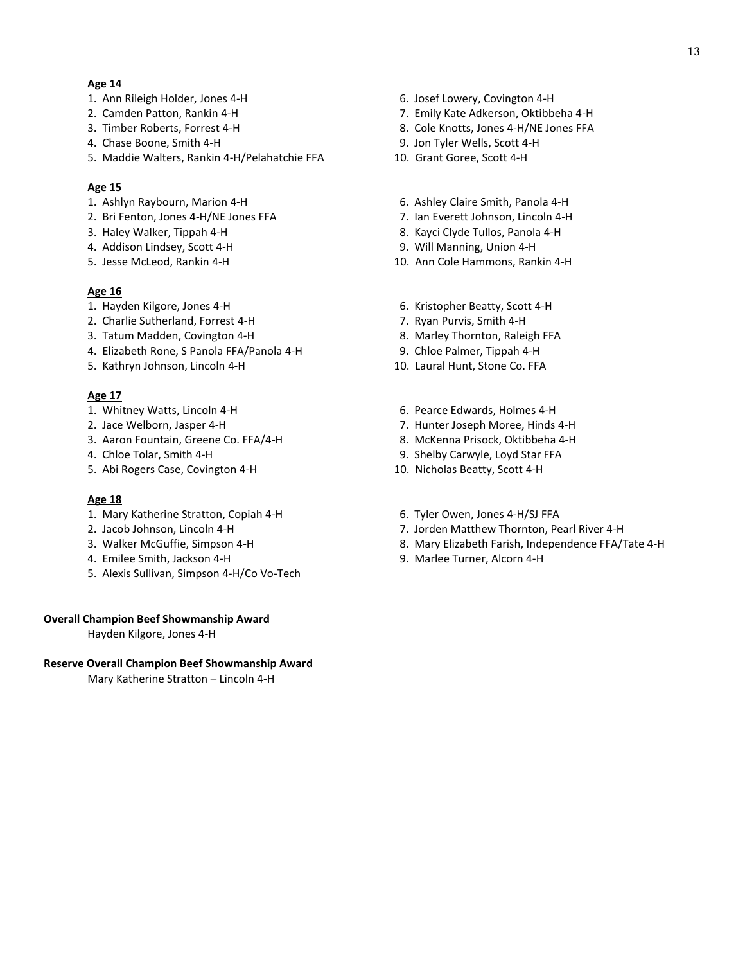## **Age 14**

- 1. Ann Rileigh Holder, Jones 4-H 6. Josef Lowery, Covington 4-H
- 
- 
- 4. Chase Boone, Smith 4-H 9. Jon Tyler Wells, Scott 4-H
- 5. Maddie Walters, Rankin 4-H/Pelahatchie FFA 10. Grant Goree, Scott 4-H

## **Age 15**

- 
- 2. Bri Fenton, Jones 4-H/NE Jones FFA 7. Ian Everett Johnson, Lincoln 4-H
- 
- 4. Addison Lindsey, Scott 4-H 9. Will Manning, Union 4-H
- 

## **Age 16**

- 
- 2. Charlie Sutherland, Forrest 4-H 7. Ryan Purvis, Smith 4-H
- 3. Tatum Madden, Covington 4-H 8. Marley Thornton, Raleigh FFA
- 4. Elizabeth Rone, S Panola FFA/Panola 4-H 9. Chloe Palmer, Tippah 4-H
- 5. Kathryn Johnson, Lincoln 4-H 10. Laural Hunt, Stone Co. FFA

## **Age 17**

- 
- 
- 3. Aaron Fountain, Greene Co. FFA/4-H 8. McKenna Prisock, Oktibbeha 4-H
- 
- 5. Abi Rogers Case, Covington 4-H 10. Nicholas Beatty, Scott 4-H

## **Age 18**

- 1. Mary Katherine Stratton, Copiah 4-H 6. Tyler Owen, Jones 4-H/SJ FFA
- 
- 
- 4. Emilee Smith, Jackson 4-H 9. Marlee Turner, Alcorn 4-H
- 5. Alexis Sullivan, Simpson 4-H/Co Vo-Tech

## **Overall Champion Beef Showmanship Award**

Hayden Kilgore, Jones 4-H

## **Reserve Overall Champion Beef Showmanship Award**

Mary Katherine Stratton – Lincoln 4-H

- 
- 2. Camden Patton, Rankin 4-H 7. Emily Kate Adkerson, Oktibbeha 4-H
- 3. Timber Roberts, Forrest 4-H 8. Cole Knotts, Jones 4-H/NE Jones FFA
	-
	-
- 1. Ashlyn Raybourn, Marion 4-H 6. Ashley Claire Smith, Panola 4-H
	-
- 3. Haley Walker, Tippah 4-H 8. Kayci Clyde Tullos, Panola 4-H
	-
- 5. Jesse McLeod, Rankin 4-H 10. Ann Cole Hammons, Rankin 4-H
- 1. Hayden Kilgore, Jones 4-H 6. Kristopher Beatty, Scott 4-H
	-
	-
	-
	-
- 1. Whitney Watts, Lincoln 4-H 6. Pearce Edwards, Holmes 4-H
- 2. Jace Welborn, Jasper 4-H 7. Hunter Joseph Moree, Hinds 4-H
	-
- 4. Chloe Tolar, Smith 4-H 9. Shelby Carwyle, Loyd Star FFA
	-
	-
- 2. Jacob Johnson, Lincoln 4-H 7. Jorden Matthew Thornton, Pearl River 4-H
- 3. Walker McGuffie, Simpson 4-H 8. Mary Elizabeth Farish, Independence FFA/Tate 4-H
	-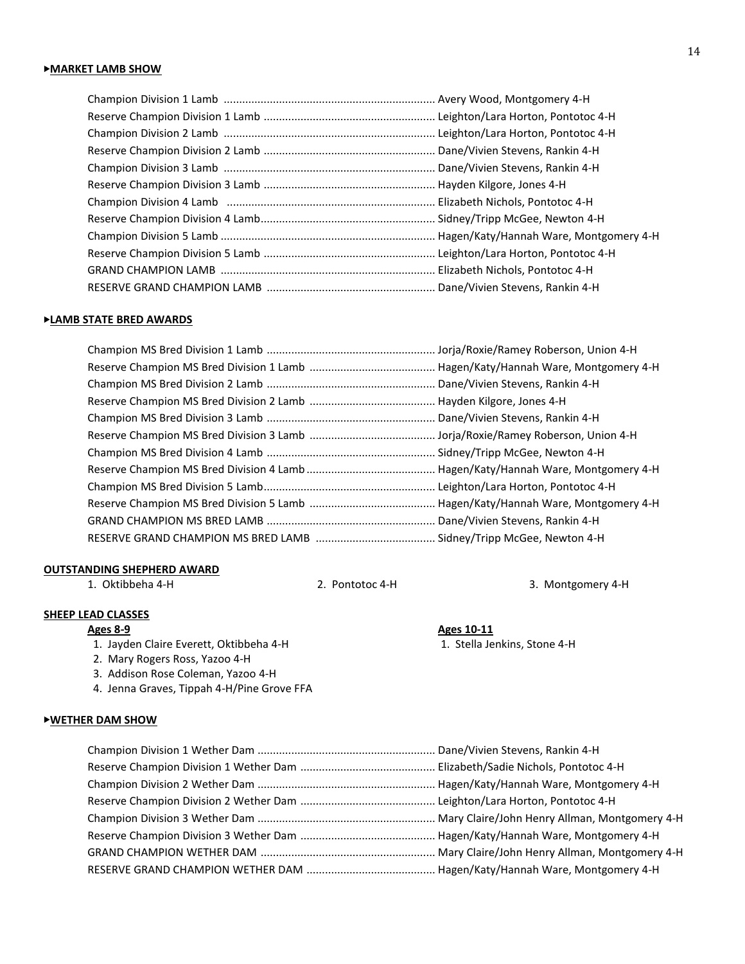## ▶**LAMB STATE BRED AWARDS**

## **OUTSTANDING SHEPHERD AWARD**

1. Oktibbeha 4-H 2. Pontotoc 4-H 3. Montgomery 4-H

## **SHEEP LEAD CLASSES**

**Ages 8-9**<br> **Ages 10-11**<br> **Ages 10-11**<br> **Ages 10-11**<br> **Ages 10-11**<br> **Ages 10-11**<br> **Ages 10-11** 1. Jayden Claire Everett, Oktibbeha 4-H

- 2. Mary Rogers Ross, Yazoo 4-H
- 3. Addison Rose Coleman, Yazoo 4-H
- 4. Jenna Graves, Tippah 4-H/Pine Grove FFA

## ▶**WETHER DAM SHOW**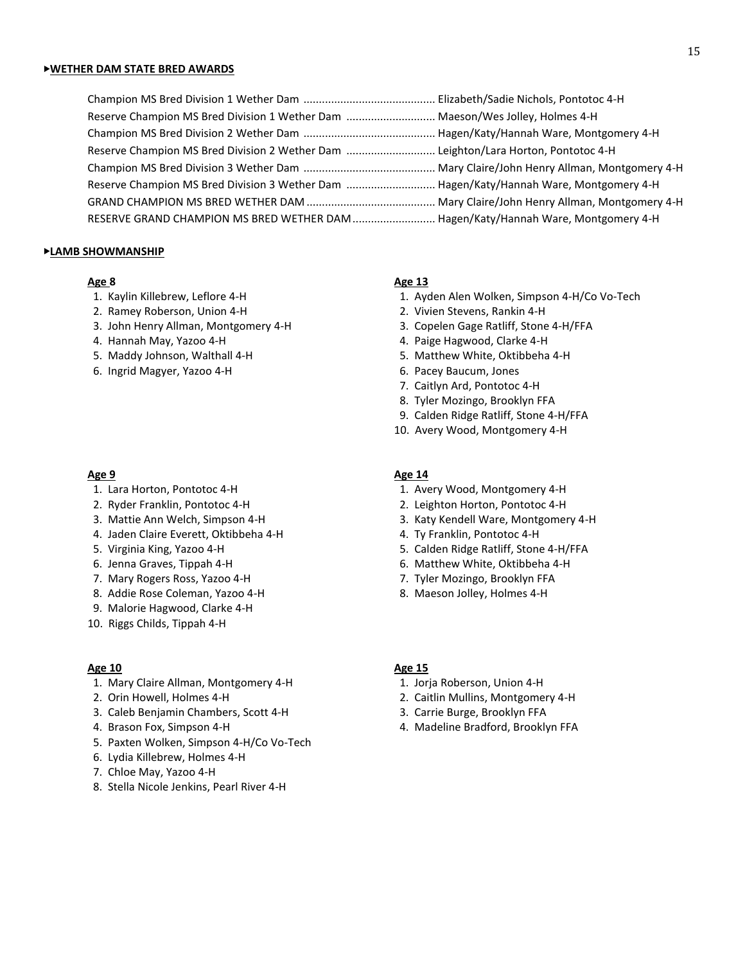### ▶**WETHER DAM STATE BRED AWARDS**

| Reserve Champion MS Bred Division 1 Wether Dam  Maeson/Wes Jolley, Holmes 4-H          |  |
|----------------------------------------------------------------------------------------|--|
|                                                                                        |  |
| Reserve Champion MS Bred Division 2 Wether Dam Leighton/Lara Horton, Pontotoc 4-H      |  |
|                                                                                        |  |
| Reserve Champion MS Bred Division 3 Wether Dam  Hagen/Katy/Hannah Ware, Montgomery 4-H |  |
|                                                                                        |  |
| RESERVE GRAND CHAMPION MS BRED WETHER DAM  Hagen/Katy/Hannah Ware, Montgomery 4-H      |  |

### ▶**LAMB SHOWMANSHIP**

- 
- 2. Ramey Roberson, Union 4-H 2. Vivien Stevens, Rankin 4-H
- 3. John Henry Allman, Montgomery 4-H 3. Copelen Gage Ratliff, Stone 4-H/FFA
- 
- 
- 6. Ingrid Magyer, Yazoo 4-H 6. Pacey Baucum, Jones

- 
- 
- 
- 4. Jaden Claire Everett, Oktibbeha 4-H 4. Ty Franklin, Pontotoc 4-H
- 
- 
- 7. Mary Rogers Ross, Yazoo 4-H 7. Tyler Mozingo, Brooklyn FFA
- 8. Addie Rose Coleman, Yazoo 4-H 8. Maeson Jolley, Holmes 4-H
- 9. Malorie Hagwood, Clarke 4-H
- 10. Riggs Childs, Tippah 4-H

- 1. Mary Claire Allman, Montgomery 4-H 1. Jorja Roberson, Union 4-H
- 
- 3. Caleb Benjamin Chambers, Scott 4-H 3. Carrie Burge, Brooklyn FFA
- 
- 5. Paxten Wolken, Simpson 4-H/Co Vo-Tech
- 6. Lydia Killebrew, Holmes 4-H
- 7. Chloe May, Yazoo 4-H
- 8. Stella Nicole Jenkins, Pearl River 4-H

## **Age 8 Age 13**

- 1. Kaylin Killebrew, Leflore 4-H 1. Ayden Alen Wolken, Simpson 4-H/Co Vo-Tech
	-
	-
- 4. Hannah May, Yazoo 4-H 4. Paige Hagwood, Clarke 4-H
- 5. Maddy Johnson, Walthall 4-H 5. Matthew White, Oktibbeha 4-H
	-
	- 7. Caitlyn Ard, Pontotoc 4-H
	- 8. Tyler Mozingo, Brooklyn FFA
	- 9. Calden Ridge Ratliff, Stone 4-H/FFA
	- 10. Avery Wood, Montgomery 4-H

## **Age 9 Age 14**

- 1. Lara Horton, Pontotoc 4-H 1. Avery Wood, Montgomery 4-H
- 2. Ryder Franklin, Pontotoc 4-H 2. Leighton Horton, Pontotoc 4-H
- 3. Mattie Ann Welch, Simpson 4-H 3. Katy Kendell Ware, Montgomery 4-H
	-
- 5. Virginia King, Yazoo 4-H 5. Calden Ridge Ratliff, Stone 4-H/FFA
- 6. Jenna Graves, Tippah 4-H 6. Matthew White, Oktibbeha 4-H
	-
	-

### **Age 10 Age 15**

- 
- 2. Orin Howell, Holmes 4-H 2. Caitlin Mullins, Montgomery 4-H
	-
- 4. Brason Fox, Simpson 4-H 4. Madeline Bradford, Brooklyn FFA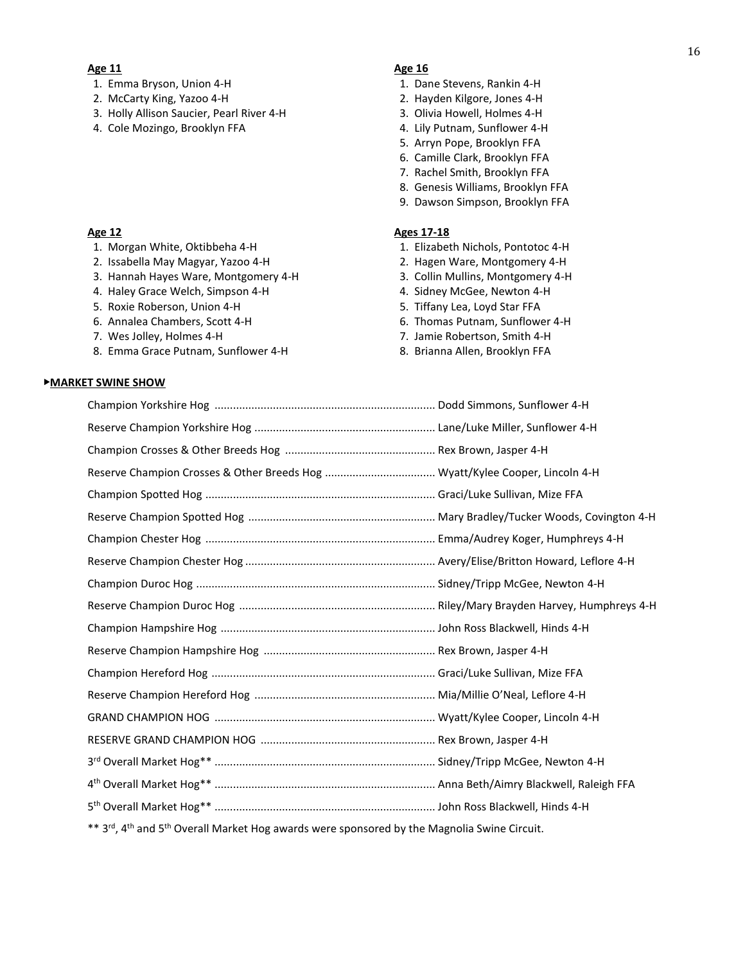### **Age 11 Age 16**

- 1. Emma Bryson, Union 4-H 1. Dane Stevens, Rankin 4-H
- 2. McCarty King, Yazoo 4-H 2. Hayden Kilgore, Jones 4-H
- 3. Holly Allison Saucier, Pearl River 4-H 3. Olivia Howell, Holmes 4-H
- 4. Cole Mozingo, Brooklyn FFA 4. Lily Putnam, Sunflower 4-H

- 
- 2. Issabella May Magyar, Yazoo 4-H 2. Hagen Ware, Montgomery 4-H
- 3. Hannah Hayes Ware, Montgomery 4-H 3. Collin Mullins, Montgomery 4-H
- 4. Haley Grace Welch, Simpson 4-H 4. Sidney McGee, Newton 4-H
- 5. Roxie Roberson, Union 4-H 5. Tiffany Lea, Loyd Star FFA
- 
- 
- 8. Emma Grace Putnam, Sunflower 4-H 8. Brianna Allen, Brooklyn FFA

#### ▶**MARKET SWINE SHOW**

- 
- 
- 
- 
- 5. Arryn Pope, Brooklyn FFA
- 6. Camille Clark, Brooklyn FFA
- 7. Rachel Smith, Brooklyn FFA
- 8. Genesis Williams, Brooklyn FFA
- 9. Dawson Simpson, Brooklyn FFA

### **Age 12 Ages 17-18**

- 1. Morgan White, Oktibbeha 4-H 1. Elizabeth Nichols, Pontotoc 4-H
	-
	-
	-
	-
- 6. Annalea Chambers, Scott 4-H 6. Thomas Putnam, Sunflower 4-H
- 7. Wes Jolley, Holmes 4-H 7. Jamie Robertson, Smith 4-H
	-

| $**$ and athened $F$ th Ournall Merket Hermannels were represented by the Mergerlin Curing Circuit |  |
|----------------------------------------------------------------------------------------------------|--|

3'", 4" and 5" Overall Market Hog awards were sponsored by the Magnolia Swine Circuit.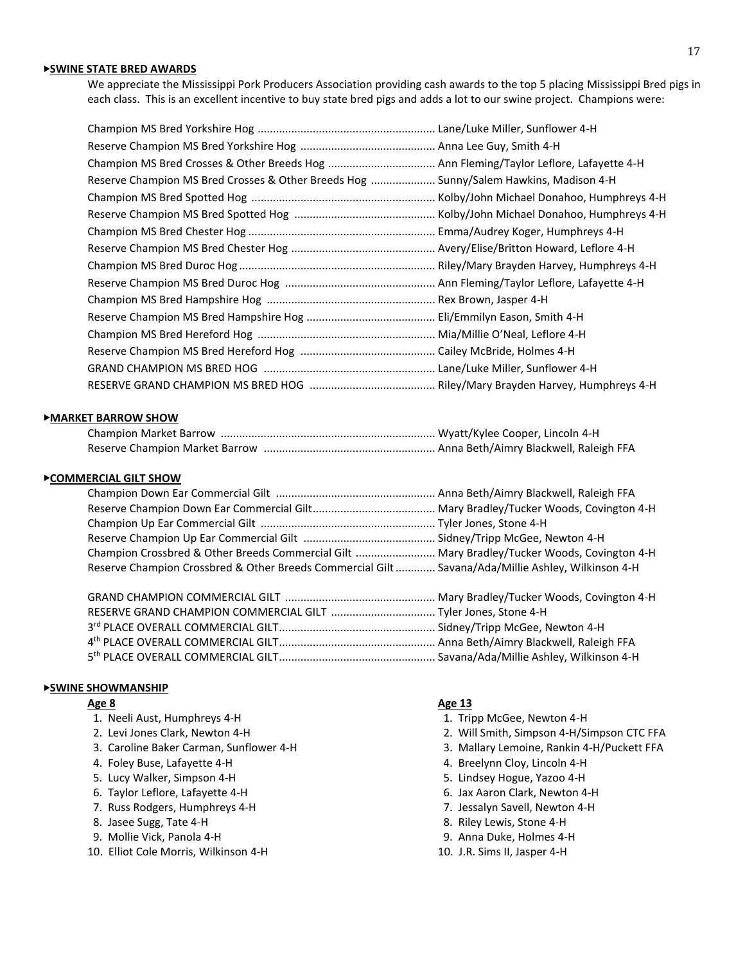## ▶**SWINE STATE BRED AWARDS**

We appreciate the Mississippi Pork Producers Association providing cash awards to the top 5 placing Mississippi Bred pigs in each class. This is an excellent incentive to buy state bred pigs and adds a lot to our swine project. Champions were:

| Reserve Champion MS Bred Crosses & Other Breeds Hog  Sunny/Salem Hawkins, Madison 4-H |                                           |
|---------------------------------------------------------------------------------------|-------------------------------------------|
|                                                                                       |                                           |
|                                                                                       | Kolby/John Michael Donahoo, Humphreys 4-H |
|                                                                                       |                                           |
|                                                                                       |                                           |
|                                                                                       |                                           |
|                                                                                       |                                           |
|                                                                                       |                                           |
|                                                                                       |                                           |
|                                                                                       |                                           |
|                                                                                       |                                           |
|                                                                                       |                                           |
|                                                                                       |                                           |

### ▶**MARKET BARROW SHOW**

#### ▶**COMMERCIAL GILT SHOW**

| Champion Crossbred & Other Breeds Commercial Gilt  Mary Bradley/Tucker Woods, Covington 4-H        |  |
|----------------------------------------------------------------------------------------------------|--|
| Reserve Champion Crossbred & Other Breeds Commercial Gilt  Savana/Ada/Millie Ashley, Wilkinson 4-H |  |
|                                                                                                    |  |

### ▶**SWINE SHOWMANSHIP**

- 1. Neeli Aust, Humphreys 4-H 1. Tripp McGee, Newton 4-H
- 
- 
- 
- 
- 
- 
- 
- 
- 10. Elliot Cole Morris, Wilkinson 4-H 10. J.R. Sims II, Jasper 4-H

#### **Age 8 Age 13**

- 
- 2. Levi Jones Clark, Newton 4-H 2. Will Smith, Simpson 4-H/Simpson CTC FFA
- 3. Caroline Baker Carman, Sunflower 4-H 3. Mallary Lemoine, Rankin 4-H/Puckett FFA
- 4. Foley Buse, Lafayette 4-H  $\overline{a}$  4. Breelynn Cloy, Lincoln 4-H
- 5. Lucy Walker, Simpson 4-H 6. 2010 12:30 MHz 5. Lindsey Hogue, Yazoo 4-H
- 6. Taylor Leflore, Lafayette 4-H 6. Jax Aaron Clark, Newton 4-H
- 7. Russ Rodgers, Humphreys 4-H 7. Jessalyn Savell, Newton 4-H
- 8. Jasee Sugg, Tate 4-H 8. Riley Lewis, Stone 4-H
- 9. Mollie Vick, Panola 4-H 9. Mollie Vick, Panola 4-H
	-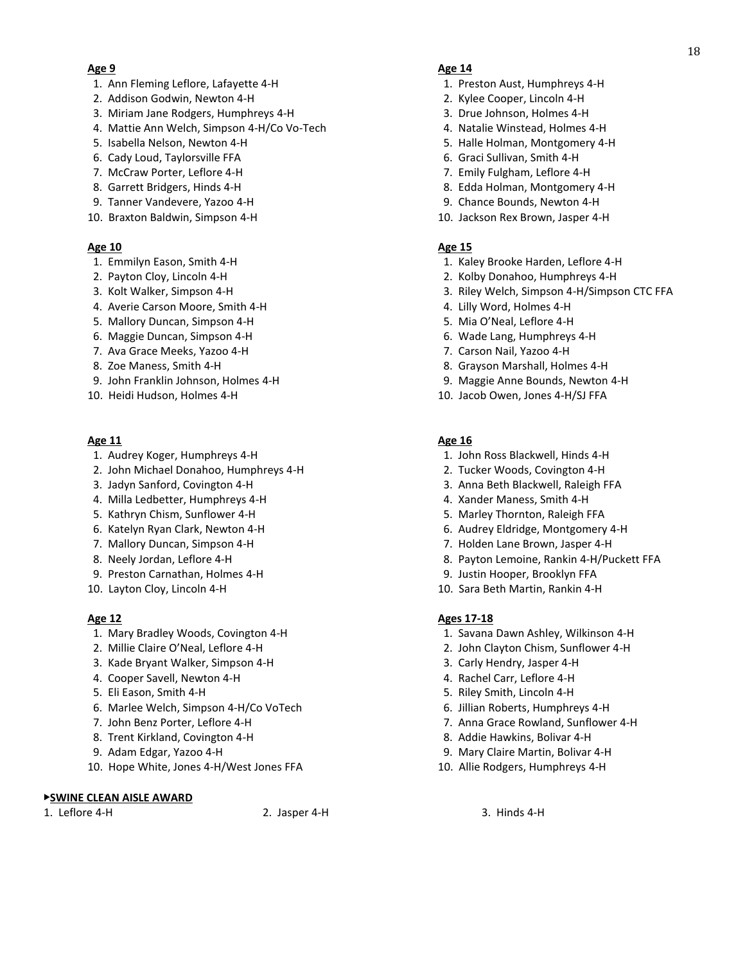- 1. Ann Fleming Leflore, Lafayette 4-H 1. Preston Aust, Humphreys 4-H
- 2. Addison Godwin, Newton 4-H 2. Kylee Cooper, Lincoln 4-H
- 3. Miriam Jane Rodgers, Humphreys 4-H 3. Drue Johnson, Holmes 4-H
- 4. Mattie Ann Welch, Simpson 4-H/Co Vo-Tech 4. Natalie Winstead, Holmes 4-H
- 
- 6. Cady Loud, Taylorsville FFA 6. Graci Sullivan, Smith 4-H
- 7. McCraw Porter, Leflore 4-H 7. Emily Fulgham, Leflore 4-H
- 8. Garrett Bridgers, Hinds 4-H 8. Edda Holman, Montgomery 4-H
- 9. Tanner Vandevere, Yazoo 4-H 9. Chance Bounds, Newton 4-H
- 10. Braxton Baldwin, Simpson 4-H 10. Jackson Rex Brown, Jasper 4-H

## **Age 10 Age 15**

- 
- 
- 
- 4. Averie Carson Moore, Smith 4-H 4. Allowsom 4. Lilly Word, Holmes 4-H
- 5. Mallory Duncan, Simpson 4-H 5. Mia O'Neal, Leflore 4-H
- 
- 7. Ava Grace Meeks, Yazoo 4-H 7. Carson Nail, Yazoo 4-H
- 
- 9. John Franklin Johnson, Holmes 4-H 9. Maggie Anne Bounds, Newton 4-H
- 

## **Age 11 Age 16**

- 
- 2. John Michael Donahoo, Humphreys 4-H 2. Tucker Woods, Covington 4-H
- 
- 4. Milla Ledbetter, Humphreys 4-H 4. Ander Maness, Smith 4-H
- 
- 
- 
- 
- 9. Preston Carnathan, Holmes 4-H 9. Justin Hooper, Brooklyn FFA
- 

- 1. Mary Bradley Woods, Covington 4-H 1. Savana Dawn Ashley, Wilkinson 4-H
- 
- 3. Kade Bryant Walker, Simpson 4-H 3. Carly Hendry, Jasper 4-H
- 
- 
- 6. Marlee Welch, Simpson 4-H/Co VoTech 6. Jillian Roberts, Humphreys 4-H
- 
- 
- 
- 10. Hope White, Jones 4-H/West Jones FFA 10. Allie Rodgers, Humphreys 4-H

## ▶**SWINE CLEAN AISLE AWARD**

## **Age 9 Age 14**

- 
- 
- 
- 
- 5. Isabella Nelson, Newton 4-H 6. Isabella Nelson, Newton 4-H 6. Isabella Nelson, Newton 4-H
	-
	-
	-
	-
	-

- 1. Emmilyn Eason, Smith 4-H 1. Kaley Brooke Harden, Leflore 4-H
- 2. Payton Cloy, Lincoln 4-H 2. Kolby Donahoo, Humphreys 4-H
- 3. Kolt Walker, Simpson 4-H 3. Riley Welch, Simpson 4-H/Simpson CTC FFA
	-
	-
- 6. Maggie Duncan, Simpson 4-H 6. Wade Lang, Humphreys 4-H
	-
- 8. Zoe Maness, Smith 4-H 8. Grayson Marshall, Holmes 4-H
	-
- 10. Heidi Hudson, Holmes 4-H 10. Jacob Owen, Jones 4-H/SJ FFA

- 1. Audrey Koger, Humphreys 4-H 1. John Ross Blackwell, Hinds 4-H
	-
- 3. Jadyn Sanford, Covington 4-H 3. Anna Beth Blackwell, Raleigh FFA
	-
- 5. Kathryn Chism, Sunflower 4-H 5. Marley Thornton, Raleigh FFA
- 6. Katelyn Ryan Clark, Newton 4-H 6. Audrey Eldridge, Montgomery 4-H
- 7. Mallory Duncan, Simpson 4-H 7. Holden Lane Brown, Jasper 4-H
- 8. Neely Jordan, Leflore 4-H 8. Payton Lemoine, Rankin 4-H/Puckett FFA
	-
- 10. Layton Cloy, Lincoln 4-H 10. Sara Beth Martin, Rankin 4-H

## **Age 12 Ages 17-18**

- 
- 2. Millie Claire O'Neal, Leflore 4-H 2. John Clayton Chism, Sunflower 4-H
	-
- 4. Cooper Savell, Newton 4-H  $\overline{a}$  and  $\overline{a}$  and  $\overline{a}$  are  $\overline{a}$  and  $\overline{a}$ . Rachel Carr, Leflore 4-H
- 5. Eli Eason, Smith 4-H 5. Riley Smith, Lincoln 4-H
	-
- 7. John Benz Porter, Leflore 4-H 7. Anna Grace Rowland, Sunflower 4-H
- 8. Trent Kirkland, Covington 4-H 8. Addie Hawkins, Bolivar 4-H
- 9. Adam Edgar, Yazoo 4-H 9. Mary Claire Martin, Bolivar 4-H
	-

1. Leflore 4-H 2. Jasper 4-H 3. Hinds 4-H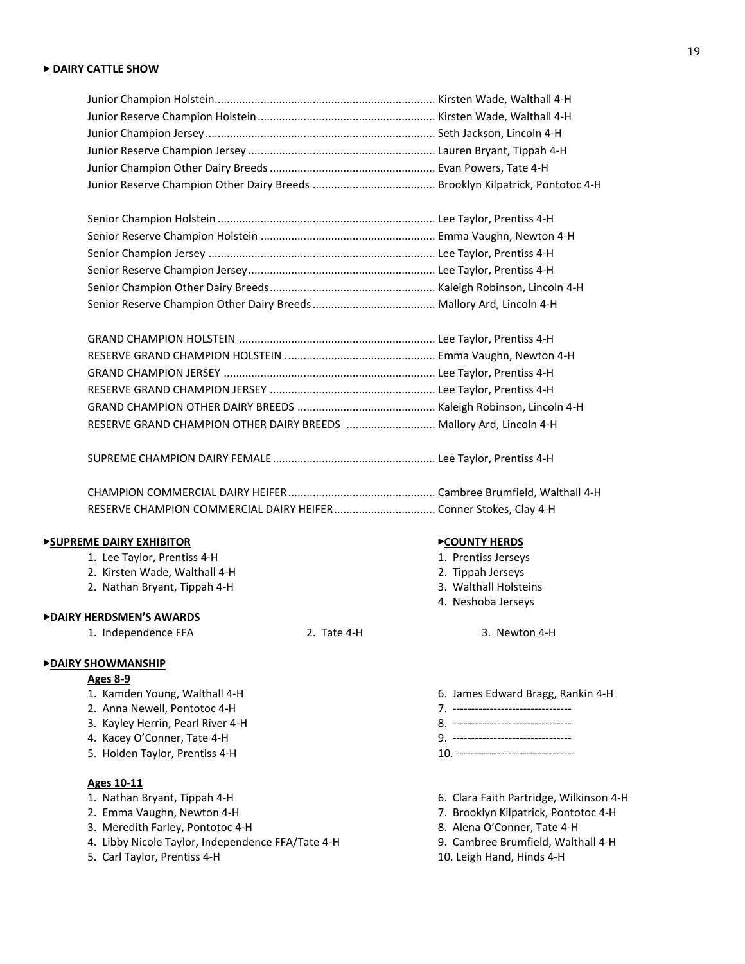## ▶ **DAIRY CATTLE SHOW**

| RESERVE GRAND CHAMPION OTHER DAIRY BREEDS  Mallory Ard, Lincoln 4-H |  |
|---------------------------------------------------------------------|--|

SUPREME CHAMPION DAIRY FEMALE ..................................................... Lee Taylor, Prentiss 4-H

## ▶**SUPREME DAIRY EXHIBITOR** ▶**COUNTY HERDS**

- 1. Lee Taylor, Prentiss 4-H 1. Prentiss Jerseys
- 2. Kirsten Wade, Walthall 4-H 2. Tippah Jerseys
- 2. Nathan Bryant, Tippah 4-H 3. Walthall Holsteins

### ▶**DAIRY HERDSMEN'S AWARDS**

1. Independence FFA 2. Tate 4-H 3. Newton 4-H

## ▶**DAIRY SHOWMANSHIP**

### **Ages 8-9**

- 
- 
- 3. Kayley Herrin, Pearl River 4-H 8. --------------------------------
- 4. Kacey O'Conner, Tate 4-H
- 5. Holden Taylor, Prentiss 4-H 10. --------------------------------

## **Ages 10-11**

- 
- 
- 3. Meredith Farley, Pontotoc 4-H 8. Alena O'Conner, Tate 4-H
- 4. Libby Nicole Taylor, Independence FFA/Tate 4-H 9. Cambree Brumfield, Walthall 4-H
- 5. Carl Taylor, Prentiss 4-H 10. Leigh Hand, Hinds 4-H

- 
- 
- 
- 4. Neshoba Jerseys

- 1. Kamden Young, Walthall 4-H 6. James Edward Bragg, Rankin 4-H 6. James Edward Bragg, Rankin 4-H 6. James Edward Bragg, Rankin 4-H 6. James Edward Bragg, Rankin 4-H
- 2. Anna Newell, Pontotoc 4-H 7. 2008 12. Anna Newell, Pontotoc 4-H 7. 2008 12. 2012 13. 2012 13. 2012 13. 2012<br>3. Kayley Herrin, Pearl River 4-H 3. 2009 13. 2012 13. 2012 13. 2012 13. 2012 13. 2012 13. 2012 13. 2012 13. 2
	-
	-
- 1. Nathan Bryant, Tippah 4-H 6. Clara Faith Partridge, Wilkinson 4-H
- 2. Emma Vaughn, Newton 4-H 7. Brooklyn Kilpatrick, Pontotoc 4-H
	-
	-
	-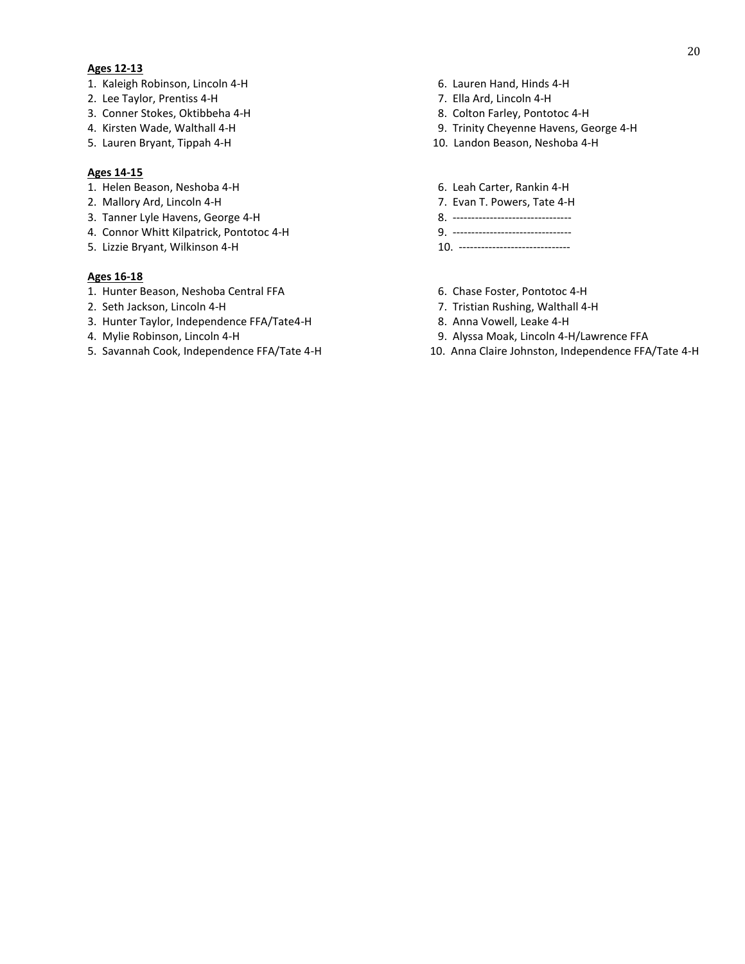### **Ages 12-13**

- 1. Kaleigh Robinson, Lincoln 4-H 6. Lauren Hand, Hinds 4-H
- 2. Lee Taylor, Prentiss 4-H 7. Ella Ard, Lincoln 4-H
- 
- 
- 

## **Ages 14-15**

- 1. Helen Beason, Neshoba 4-H 6. Leah Carter, Rankin 4-H
- 2. Mallory Ard, Lincoln 4-H 7. Evan T. Powers, Tate 4-H
- 3. Tanner Lyle Havens, George 4-H 8. --------------------------------
- 4. Connor Whitt Kilpatrick, Pontotoc 4-H 9. --------------------------------
- 5. Lizzie Bryant, Wilkinson 4-H 10. ------------------------------

#### **Ages 16-18**

- 1. Hunter Beason, Neshoba Central FFA 6. Chase Foster, Pontotoc 4-H
- 
- 3. Hunter Taylor, Independence FFA/Tate4-H 8. Anna Vowell, Leake 4-H
- 
- 
- 
- 
- 3. Conner Stokes, Oktibbeha 4-H 8. Colton Farley, Pontotoc 4-H
- 4. Kirsten Wade, Walthall 4-H 9. Trinity Cheyenne Havens, George 4-H
- 5. Lauren Bryant, Tippah 4-H 10. Landon Beason, Neshoba 4-H
	-
	-
	-
	-
	-
	-
- 2. Seth Jackson, Lincoln 4-H 7. Tristian Rushing, Walthall 4-H
	-
- 4. Mylie Robinson, Lincoln 4-H 9. Alyssa Moak, Lincoln 4-H/Lawrence FFA
- 5. Savannah Cook, Independence FFA/Tate 4-H 10. Anna Claire Johnston, Independence FFA/Tate 4-H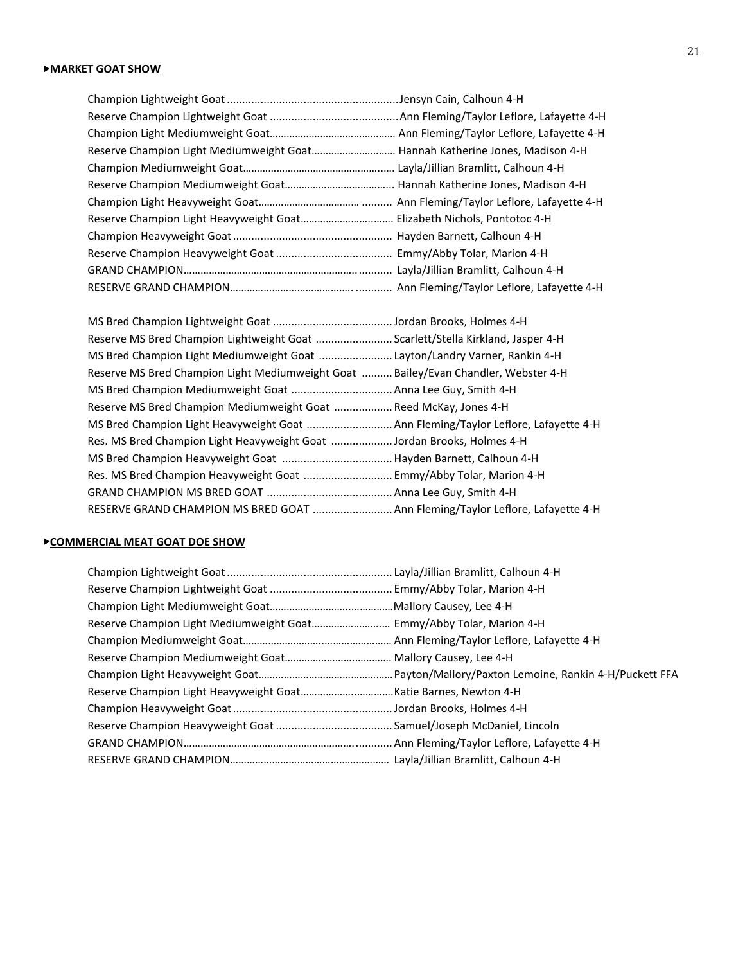| Reserve Champion Light Mediumweight Goat Hannah Katherine Jones, Madison 4-H |  |
|------------------------------------------------------------------------------|--|
|                                                                              |  |
|                                                                              |  |
|                                                                              |  |
|                                                                              |  |
|                                                                              |  |
|                                                                              |  |
|                                                                              |  |
|                                                                              |  |

| Reserve MS Bred Champion Lightweight Goat  Scarlett/Stella Kirkland, Jasper 4-H     |
|-------------------------------------------------------------------------------------|
| MS Bred Champion Light Mediumweight Goat Layton/Landry Varner, Rankin 4-H           |
| Reserve MS Bred Champion Light Mediumweight Goat  Bailey/Evan Chandler, Webster 4-H |
|                                                                                     |
| Reserve MS Bred Champion Mediumweight Goat  Reed McKay, Jones 4-H                   |
| MS Bred Champion Light Heavyweight Goat  Ann Fleming/Taylor Leflore, Lafayette 4-H  |
| Res. MS Bred Champion Light Heavyweight Goat Jordan Brooks, Holmes 4-H              |
|                                                                                     |
| Res. MS Bred Champion Heavyweight Goat  Emmy/Abby Tolar, Marion 4-H                 |
|                                                                                     |
| RESERVE GRAND CHAMPION MS BRED GOAT  Ann Fleming/Taylor Leflore, Lafayette 4-H      |

## ▶**COMMERCIAL MEAT GOAT DOE SHOW**

| Reserve Champion Light Mediumweight Goat Emmy/Abby Tolar, Marion 4-H |  |
|----------------------------------------------------------------------|--|
|                                                                      |  |
|                                                                      |  |
|                                                                      |  |
|                                                                      |  |
|                                                                      |  |
|                                                                      |  |
|                                                                      |  |
|                                                                      |  |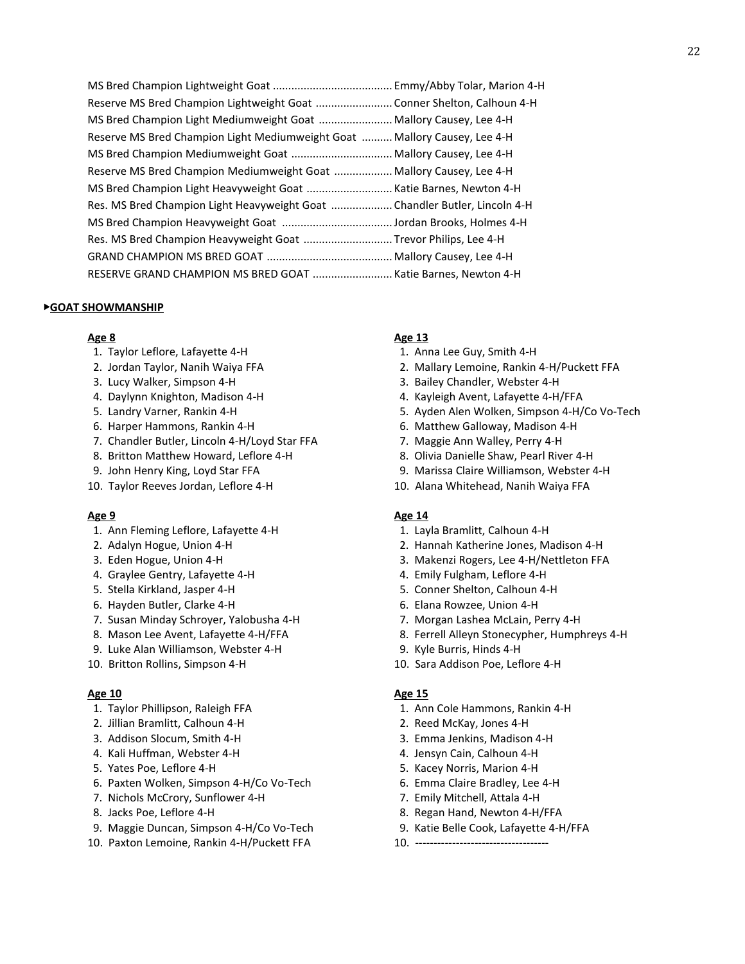| Reserve MS Bred Champion Lightweight Goat Conner Shelton, Calhoun 4-H     |
|---------------------------------------------------------------------------|
| MS Bred Champion Light Mediumweight Goat  Mallory Causey, Lee 4-H         |
| Reserve MS Bred Champion Light Mediumweight Goat  Mallory Causey, Lee 4-H |
| MS Bred Champion Mediumweight Goat  Mallory Causey, Lee 4-H               |
| Reserve MS Bred Champion Mediumweight Goat  Mallory Causey, Lee 4-H       |
| MS Bred Champion Light Heavyweight Goat Katie Barnes, Newton 4-H          |
| Res. MS Bred Champion Light Heavyweight Goat Chandler Butler, Lincoln 4-H |
|                                                                           |
| Res. MS Bred Champion Heavyweight Goat Trevor Philips, Lee 4-H            |
|                                                                           |
| RESERVE GRAND CHAMPION MS BRED GOAT Katie Barnes, Newton 4-H              |

### ▶**GOAT SHOWMANSHIP**

- 1. Taylor Leflore, Lafayette 4-H 1. Anna Lee Guy, Smith 4-H
- 
- 
- 
- 
- 
- 7. Chandler Butler, Lincoln 4-H/Loyd Star FFA 7. Maggie Ann Walley, Perry 4-H
- 
- 
- 

- 1. Ann Fleming Leflore, Lafayette 4-H 1. Layla Bramlitt, Calhoun 4-H
- 
- 
- 4. Graylee Gentry, Lafayette 4-H 4. Emily Fulgham, Leflore 4-H
- 
- 6. Hayden Butler, Clarke 4-H 6. Elana Rowzee, Union 4-H
- 7. Susan Minday Schroyer, Yalobusha 4-H 7. Morgan Lashea McLain, Perry 4-H
- 
- 9. Luke Alan Williamson, Webster 4-H 9. Kyle Burris, Hinds 4-H
- 

- 
- 2. Jillian Bramlitt, Calhoun 4-H 2. Reed McKay, Jones 4-H
- 
- 4. Kali Huffman, Webster 4-H  $\overline{a}$  4. Jensyn Cain, Calhoun 4-H
- 
- 6. Paxten Wolken, Simpson 4-H/Co Vo-Tech 6. Emma Claire Bradley, Lee 4-H
- 7. Nichols McCrory, Sunflower 4-H 7. Emily Mitchell, Attala 4-H
- 
- 9. Maggie Duncan, Simpson 4-H/Co Vo-Tech 9. Katie Belle Cook, Lafayette 4-H/FFA
- 10. Paxton Lemoine, Rankin 4-H/Puckett FFA 10. ---------------------------------

## **Age 8 Age 13**

- 
- 2. Jordan Taylor, Nanih Waiya FFA 2. Mallary Lemoine, Rankin 4-H/Puckett FFA
- 3. Lucy Walker, Simpson 4-H 3. Bailey Chandler, Webster 4-H
- 4. Daylynn Knighton, Madison 4-H 4. Kayleigh Avent, Lafayette 4-H/FFA
- 5. Landry Varner, Rankin 4-H 6. By Solution 1. And S. Ayden Alen Wolken, Simpson 4-H/Co Vo-Tech
- 6. Harper Hammons, Rankin 4-H 6. Matthew Galloway, Madison 4-H
	-
- 8. Britton Matthew Howard, Leflore 4-H 8. Olivia Danielle Shaw, Pearl River 4-H
- 9. John Henry King, Loyd Star FFA 9. Marissa Claire Williamson, Webster 4-H
- 10. Taylor Reeves Jordan, Leflore 4-H 10. Alana Whitehead, Nanih Waiya FFA

## **Age 9 Age 14**

- 
- 2. Adalyn Hogue, Union 4-H 2. Hannah Katherine Jones, Madison 4-H
- 3. Eden Hogue, Union 4-H 3. Makenzi Rogers, Lee 4-H/Nettleton FFA
	-
- 5. Stella Kirkland, Jasper 4-H 5. Conner Shelton, Calhoun 4-H
	-
	-
- 8. Mason Lee Avent, Lafayette 4-H/FFA 8. Ferrell Alleyn Stonecypher, Humphreys 4-H
	-
- 10. Britton Rollins, Simpson 4-H 10. Sara Addison Poe, Leflore 4-H

## **Age 10 Age 15**

- 1. Taylor Phillipson, Raleigh FFA 1. Ann Cole Hammons, Rankin 4-H
	-
- 3. Addison Slocum, Smith 4-H 3. Emma Jenkins, Madison 4-H
	-
- 5. Yates Poe, Leflore 4-H 5. Yates Poe, Leflore 4-H
	-
	-
- 8. Jacks Poe, Leflore 4-H 8. Regan Hand, Newton 4-H/FFA
	-
	-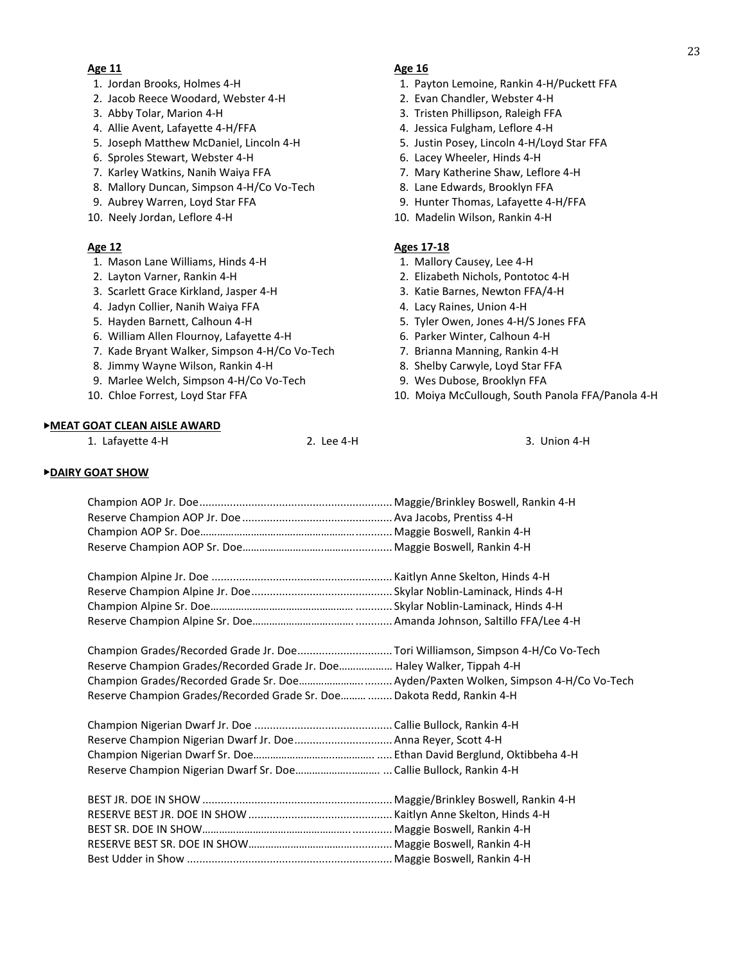### **Age 11 Age 16**

- 
- 2. Jacob Reece Woodard, Webster 4-H 2. Evan Chandler, Webster 4-H
- 
- 4. Allie Avent, Lafayette 4-H/FFA 4. Jessica Fulgham, Leflore 4-H
- 5. Joseph Matthew McDaniel, Lincoln 4-H 5. Justin Posey, Lincoln 4-H/Loyd Star FFA
- 6. Sproles Stewart, Webster 4-H 6. Lacey Wheeler, Hinds 4-H
- 7. Karley Watkins, Nanih Waiya FFA 7. Mary Katherine Shaw, Leflore 4-H
- 8. Mallory Duncan, Simpson 4-H/Co Vo-Tech 8. Lane Edwards, Brooklyn FFA
- 
- 

- 1. Mason Lane Williams, Hinds 4-H 1. Mallory Causey, Lee 4-H
- 
- 3. Scarlett Grace Kirkland, Jasper 4-H 3. Katie Barnes, Newton FFA/4-H
- 4. Jadyn Collier, Nanih Waiya FFA 4. Lacy Raines, Union 4-H
- 
- 6. William Allen Flournoy, Lafayette 4-H 6. Parker Winter, Calhoun 4-H
- 7. Kade Bryant Walker, Simpson 4-H/Co Vo-Tech 7. Brianna Manning, Rankin 4-H
- 8. Jimmy Wayne Wilson, Rankin 4-H 8. Shelby Carwyle, Loyd Star FFA
- 9. Marlee Welch, Simpson 4-H/Co Vo-Tech 9. Wes Dubose, Brooklyn FFA
- 

## ▶**MEAT GOAT CLEAN AISLE AWARD**

1. Lafayette 4-H 2. Lee 4-H 3. Union 4-H

- 1. Jordan Brooks, Holmes 4-H 1. Payton Lemoine, Rankin 4-H/Puckett FFA
	-
- 3. Abby Tolar, Marion 4-H 3. Tristen Phillipson, Raleigh FFA
	-
	-
	-
	-
	-
- 9. Aubrey Warren, Loyd Star FFA 9. Hunter Thomas, Lafayette 4-H/FFA
- 10. Neely Jordan, Leflore 4-H 10. Madelin Wilson, Rankin 4-H

## **Age 12 Ages 17-18**

- 
- 2. Layton Varner, Rankin 4-H 2. Elizabeth Nichols, Pontotoc 4-H
	-
	-
- 5. Hayden Barnett, Calhoun 4-H 5. Tyler Owen, Jones 4-H/S Jones FFA
	-
	-
	-
	-
- 10. Chloe Forrest, Loyd Star FFA 10. Moiya McCullough, South Panola FFA/Panola 4-H

## ▶**DAIRY GOAT SHOW**

| Champion Grades/Recorded Grade Jr. Doe Tori Williamson, Simpson 4-H/Co Vo-Tech |  |
|--------------------------------------------------------------------------------|--|
| Reserve Champion Grades/Recorded Grade Jr. Doe Haley Walker, Tippah 4-H        |  |
|                                                                                |  |
| Reserve Champion Grades/Recorded Grade Sr. Doe  Dakota Redd, Rankin 4-H        |  |
|                                                                                |  |
|                                                                                |  |
| Reserve Champion Nigerian Dwarf Jr. Doe Anna Reyer, Scott 4-H                  |  |
|                                                                                |  |
|                                                                                |  |
|                                                                                |  |
|                                                                                |  |
|                                                                                |  |
|                                                                                |  |
|                                                                                |  |
|                                                                                |  |